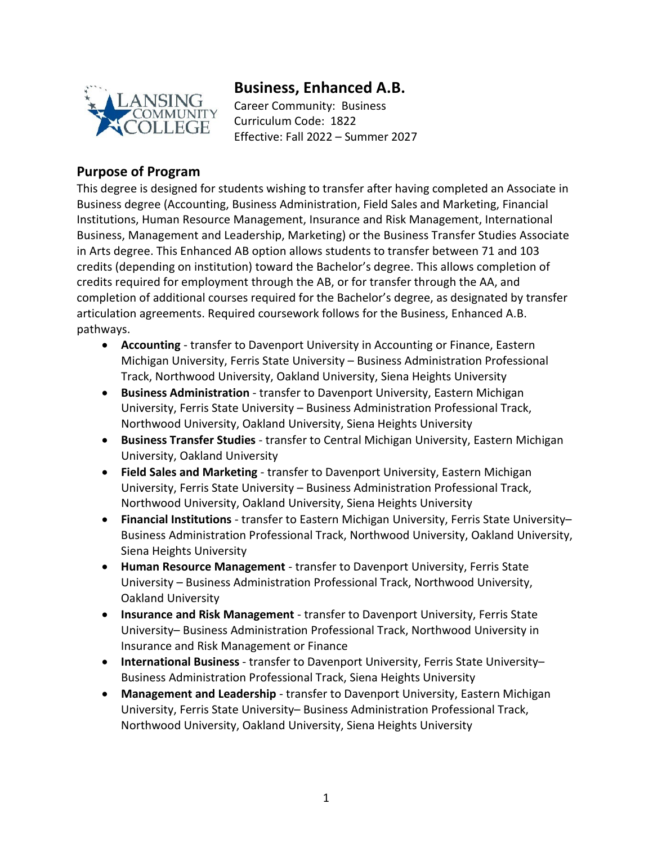

# **Business, Enhanced A.B.**

Career Community: Business Curriculum Code: 1822 Effective: Fall 2022 – Summer 2027

## **Purpose of Program**

This degree is designed for students wishing to transfer after having completed an Associate in Business degree (Accounting, Business Administration, Field Sales and Marketing, Financial Institutions, Human Resource Management, Insurance and Risk Management, International Business, Management and Leadership, Marketing) or the Business Transfer Studies Associate in Arts degree. This Enhanced AB option allows students to transfer between 71 and 103 credits (depending on institution) toward the Bachelor's degree. This allows completion of credits required for employment through the AB, or for transfer through the AA, and completion of additional courses required for the Bachelor's degree, as designated by transfer articulation agreements. Required coursework follows for the Business, Enhanced A.B. pathways.

- **Accounting** transfer to Davenport University in Accounting or Finance, Eastern Michigan University, Ferris State University – Business Administration Professional Track, Northwood University, Oakland University, Siena Heights University
- **Business Administration** transfer to Davenport University, Eastern Michigan University, Ferris State University – Business Administration Professional Track, Northwood University, Oakland University, Siena Heights University
- **Business Transfer Studies** transfer to Central Michigan University, Eastern Michigan University, Oakland University
- **Field Sales and Marketing** transfer to Davenport University, Eastern Michigan University, Ferris State University – Business Administration Professional Track, Northwood University, Oakland University, Siena Heights University
- **Financial Institutions** transfer to Eastern Michigan University, Ferris State University– Business Administration Professional Track, Northwood University, Oakland University, Siena Heights University
- **Human Resource Management** transfer to Davenport University, Ferris State University – Business Administration Professional Track, Northwood University, Oakland University
- **Insurance and Risk Management** transfer to Davenport University, Ferris State University– Business Administration Professional Track, Northwood University in Insurance and Risk Management or Finance
- **International Business** transfer to Davenport University, Ferris State University– Business Administration Professional Track, Siena Heights University
- **Management and Leadership** transfer to Davenport University, Eastern Michigan University, Ferris State University– Business Administration Professional Track, Northwood University, Oakland University, Siena Heights University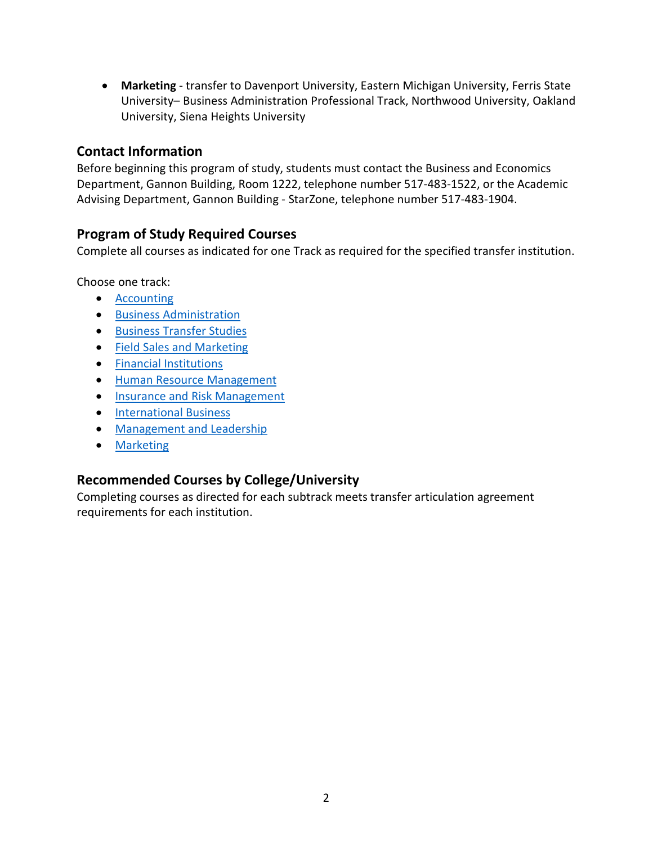• **Marketing** - transfer to Davenport University, Eastern Michigan University, Ferris State University– Business Administration Professional Track, Northwood University, Oakland University, Siena Heights University

### **Contact Information**

Before beginning this program of study, students must contact the Business and Economics Department, Gannon Building, Room 1222, telephone number 517-483-1522, or the Academic Advising Department, Gannon Building - StarZone, telephone number 517-483-1904.

## **Program of Study Required Courses**

Complete all courses as indicated for one Track as required for the specified transfer institution.

Choose one track:

- [Accounting](https://www.lcc.edu/academics/catalog/degree-certificate-programs/pathways/current/applied/0162.pdf)
- [Business Administration](https://www.lcc.edu/academics/catalog/degree-certificate-programs/pathways/current/applied/0243.pdf)
- Business [Transfer Studies](https://www.lcc.edu/academics/catalog/degree-certificate-programs/pathways/current/aa/1622.pdf)
- [Field Sales and Marketing](https://www.lcc.edu/academics/catalog/degree-certificate-programs/pathways/current/applied/0190.pdfhttps:/www.lcc.edu/academics/catalog/degree-certificate-programs/pathways/current/applied/0190.pdf)
- [Financial Institutions](https://www.lcc.edu/academics/catalog/degree-certificate-programs/pathways/current/applied/0103.pdf)
- [Human Resource Management](https://www.lcc.edu/academics/catalog/degree-certificate-programs/pathways/current/applied/0712.pdf)
- [Insurance and Risk Management](https://www.lcc.edu/academics/catalog/degree-certificate-programs/pathways/current/applied/1804.pdf)
- [International Business](https://www.lcc.edu/academics/catalog/degree-certificate-programs/pathways/current/applied/0240.pdf)
- [Management and Leadership](https://www.lcc.edu/academics/catalog/degree-certificate-programs/pathways/current/applied/0245.pdf)
- [Marketing](https://www.lcc.edu/academics/catalog/degree-certificate-programs/pathways/current/applied/0204.pdf)

## **Recommended Courses by College/University**

Completing courses as directed for each subtrack meets transfer articulation agreement requirements for each institution.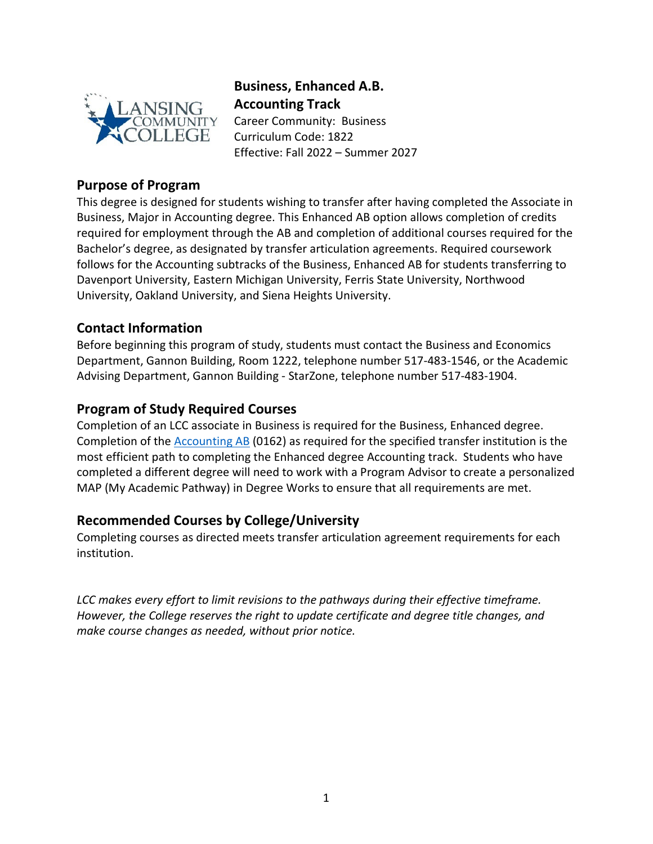

# **Business, Enhanced A.B. Accounting Track**

Career Community: Business Curriculum Code: 1822 Effective: Fall 2022 – Summer 2027

## **Purpose of Program**

This degree is designed for students wishing to transfer after having completed the Associate in Business, Major in Accounting degree. This Enhanced AB option allows completion of credits required for employment through the AB and completion of additional courses required for the Bachelor's degree, as designated by transfer articulation agreements. Required coursework follows for the Accounting subtracks of the Business, Enhanced AB for students transferring to Davenport University, Eastern Michigan University, Ferris State University, Northwood University, Oakland University, and Siena Heights University.

## **Contact Information**

Before beginning this program of study, students must contact the Business and Economics Department, Gannon Building, Room 1222, telephone number 517-483-1546, or the Academic Advising Department, Gannon Building - StarZone, telephone number 517-483-1904.

## **Program of Study Required Courses**

Completion of an LCC associate in Business is required for the Business, Enhanced degree. Completion of the [Accounting AB](https://www.lcc.edu/academics/catalog/degree-certificate-programs/pathways/current/applied/0162.pdf) (0162) as required for the specified transfer institution is the most efficient path to completing the Enhanced degree Accounting track. Students who have completed a different degree will need to work with a Program Advisor to create a personalized MAP (My Academic Pathway) in Degree Works to ensure that all requirements are met.

## **Recommended Courses by College/University**

Completing courses as directed meets transfer articulation agreement requirements for each institution.

*LCC makes every effort to limit revisions to the pathways during their effective timeframe. However, the College reserves the right to update certificate and degree title changes, and make course changes as needed, without prior notice.*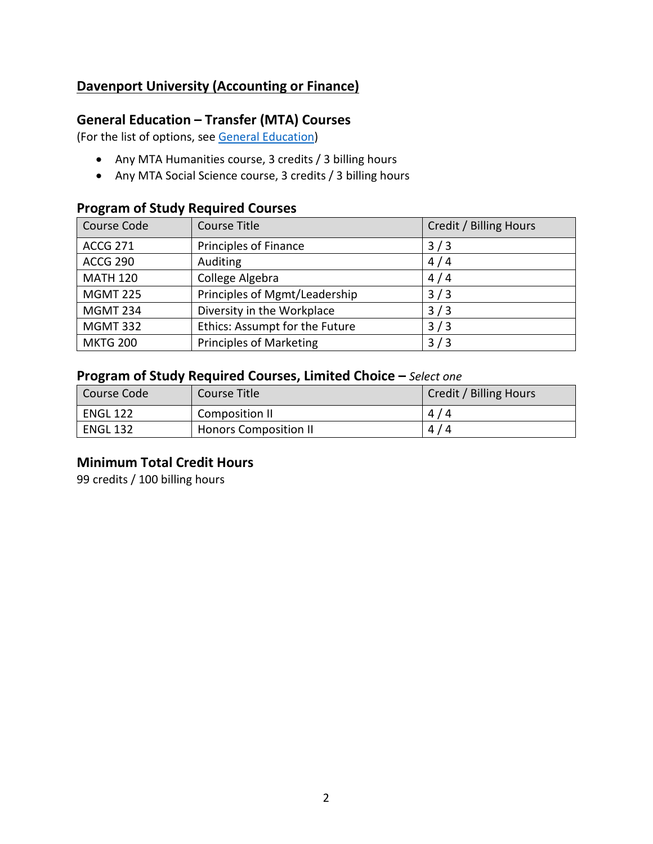## **Davenport University (Accounting or Finance)**

## **General Education – Transfer (MTA) Courses**

(For the list of options, see [General Education\)](https://www.lcc.edu/general-education/)

- Any MTA Humanities course, 3 credits / 3 billing hours
- Any MTA Social Science course, 3 credits / 3 billing hours

## **Program of Study Required Courses**

| Course Code     | <b>Course Title</b>            | Credit / Billing Hours |
|-----------------|--------------------------------|------------------------|
| <b>ACCG 271</b> | <b>Principles of Finance</b>   | 3/3                    |
| <b>ACCG 290</b> | Auditing                       | 4/4                    |
| <b>MATH 120</b> | College Algebra                | 4/4                    |
| <b>MGMT 225</b> | Principles of Mgmt/Leadership  | 3/3                    |
| <b>MGMT 234</b> | Diversity in the Workplace     | 3/3                    |
| <b>MGMT 332</b> | Ethics: Assumpt for the Future | 3/3                    |
| <b>MKTG 200</b> | <b>Principles of Marketing</b> | 3/3                    |

#### **Program of Study Required Courses, Limited Choice –** *Select one*

| Course Code     | Course Title                 | Credit / Billing Hours |
|-----------------|------------------------------|------------------------|
| ENGL 122        | Composition II               | 4/4                    |
| <b>ENGL 132</b> | <b>Honors Composition II</b> | 4/4                    |

#### **Minimum Total Credit Hours**

99 credits / 100 billing hours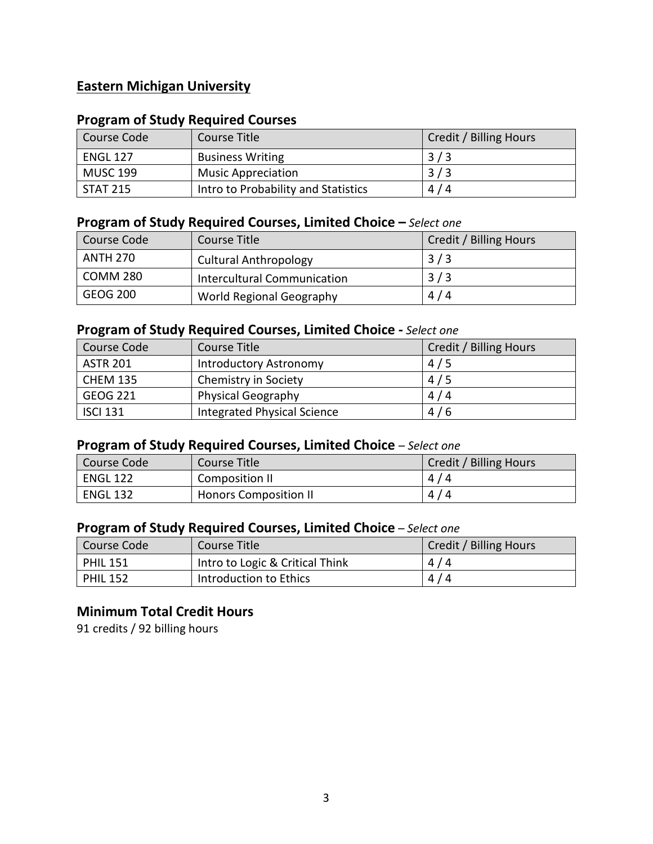## **Eastern Michigan University**

## **Program of Study Required Courses**

| Course Code     | Course Title                        | Credit / Billing Hours |
|-----------------|-------------------------------------|------------------------|
| <b>ENGL 127</b> | <b>Business Writing</b>             | 3/3                    |
| <b>MUSC 199</b> | <b>Music Appreciation</b>           | 3/3                    |
| <b>STAT 215</b> | Intro to Probability and Statistics | 4/4                    |

### **Program of Study Required Courses, Limited Choice –** *Select one*

| Course Code | Course Title                       | Credit / Billing Hours |
|-------------|------------------------------------|------------------------|
| ANTH 270    | <b>Cultural Anthropology</b>       | 3/3                    |
| COMM 280    | <b>Intercultural Communication</b> | 3/3                    |
| GEOG 200    | World Regional Geography           | 4/4                    |

## **Program of Study Required Courses, Limited Choice -** *Select one*

| Course Code     | Course Title                | Credit / Billing Hours |
|-----------------|-----------------------------|------------------------|
| <b>ASTR 201</b> | Introductory Astronomy      | 4/5                    |
| <b>CHEM 135</b> | Chemistry in Society        | 4/5                    |
| <b>GEOG 221</b> | <b>Physical Geography</b>   | 4/4                    |
| <b>ISCI 131</b> | Integrated Physical Science | 4/6                    |

### **Program of Study Required Courses, Limited Choice** *– Select one*

| Course Code     | Course Title                 | Credit / Billing Hours |
|-----------------|------------------------------|------------------------|
| <b>ENGL 122</b> | Composition II               | 4/4                    |
| <b>ENGL 132</b> | <b>Honors Composition II</b> | 4/4                    |

### **Program of Study Required Courses, Limited Choice** *– Select one*

| l Course Code   | Course Title                    | Credit / Billing Hours |
|-----------------|---------------------------------|------------------------|
| <b>PHIL 151</b> | Intro to Logic & Critical Think | 4/4                    |
| <b>PHIL 152</b> | Introduction to Ethics          | 4/4                    |

## **Minimum Total Credit Hours**

91 credits / 92 billing hours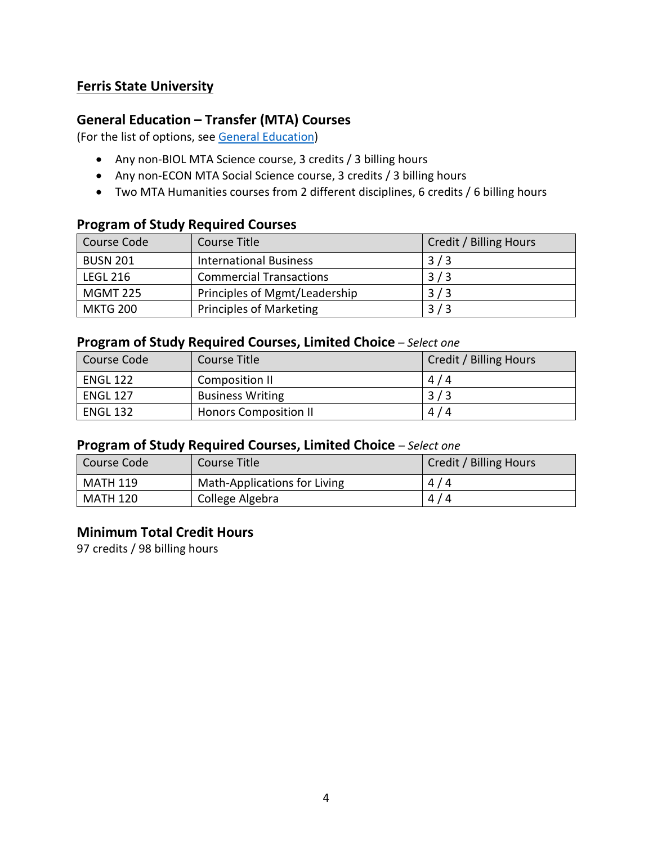## **Ferris State University**

## **General Education – Transfer (MTA) Courses**

(For the list of options, see [General Education\)](https://www.lcc.edu/general-education/)

- Any non-BIOL MTA Science course, 3 credits / 3 billing hours
- Any non-ECON MTA Social Science course, 3 credits / 3 billing hours
- Two MTA Humanities courses from 2 different disciplines, 6 credits / 6 billing hours

#### **Program of Study Required Courses**

| Course Code     | Course Title                   | Credit / Billing Hours |
|-----------------|--------------------------------|------------------------|
| <b>BUSN 201</b> | <b>International Business</b>  | 3/3                    |
| <b>LEGL 216</b> | <b>Commercial Transactions</b> | 3/3                    |
| <b>MGMT 225</b> | Principles of Mgmt/Leadership  | 3/3                    |
| <b>MKTG 200</b> | <b>Principles of Marketing</b> | 3/3                    |

#### **Program of Study Required Courses, Limited Choice** *– Select one*

| . .             |                              |                        |
|-----------------|------------------------------|------------------------|
| Course Code     | Course Title                 | Credit / Billing Hours |
| <b>ENGL 122</b> | Composition II               | 4/4                    |
| <b>ENGL 127</b> | <b>Business Writing</b>      | 3/3                    |
| <b>ENGL 132</b> | <b>Honors Composition II</b> | 4/4                    |

#### **Program of Study Required Courses, Limited Choice** *– Select one*

| l Course Code   | Course Title                 | Credit / Billing Hours |
|-----------------|------------------------------|------------------------|
| MATH 119        | Math-Applications for Living | 4/4                    |
| <b>MATH 120</b> | College Algebra              | 4/4                    |

#### **Minimum Total Credit Hours**

97 credits / 98 billing hours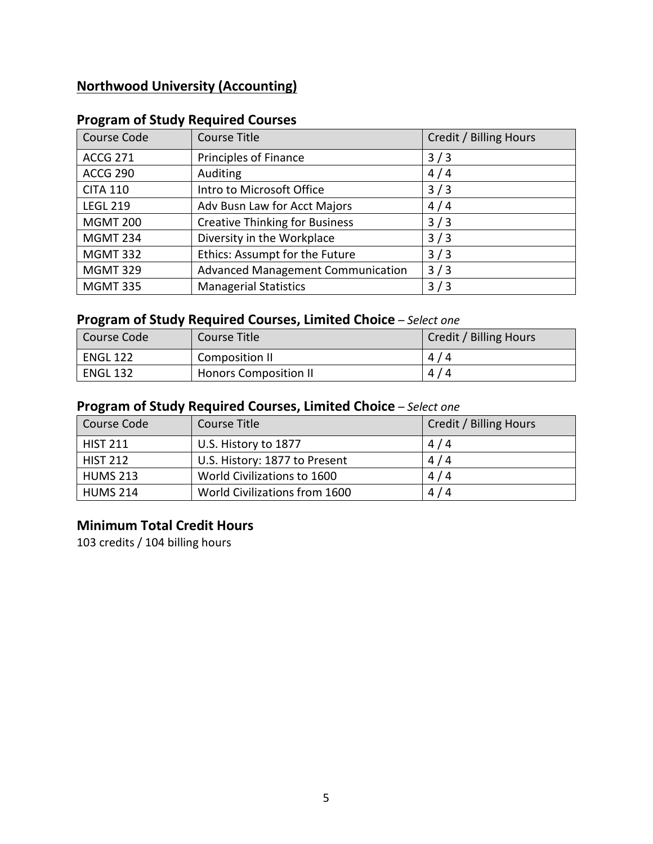## **Northwood University (Accounting)**

| Course Code     | <b>Course Title</b>                   | Credit / Billing Hours |
|-----------------|---------------------------------------|------------------------|
| <b>ACCG 271</b> | Principles of Finance                 | 3/3                    |
| <b>ACCG 290</b> | Auditing                              | 4/4                    |
| <b>CITA 110</b> | Intro to Microsoft Office             | 3/3                    |
| <b>LEGL 219</b> | Adv Busn Law for Acct Majors          | 4/4                    |
| <b>MGMT 200</b> | <b>Creative Thinking for Business</b> | 3/3                    |
| <b>MGMT 234</b> | Diversity in the Workplace            | 3/3                    |
| <b>MGMT 332</b> | Ethics: Assumpt for the Future        | 3/3                    |
| <b>MGMT 329</b> | Advanced Management Communication     | 3/3                    |
| <b>MGMT 335</b> | <b>Managerial Statistics</b>          | 3/3                    |

## **Program of Study Required Courses**

## **Program of Study Required Courses, Limited Choice** *– Select one*

| Course Code     | Course Title                 | Credit / Billing Hours |
|-----------------|------------------------------|------------------------|
| <b>ENGL 122</b> | Composition II               | 4/4                    |
| <b>ENGL 132</b> | <b>Honors Composition II</b> | 4/4                    |

## **Program of Study Required Courses, Limited Choice** *– Select one*

| Course Code     | Course Title                  | Credit / Billing Hours |
|-----------------|-------------------------------|------------------------|
| <b>HIST 211</b> | U.S. History to 1877          | 4/4                    |
| <b>HIST 212</b> | U.S. History: 1877 to Present | 4/4                    |
| <b>HUMS 213</b> | World Civilizations to 1600   | 4/4                    |
| <b>HUMS 214</b> | World Civilizations from 1600 | 4/4                    |

## **Minimum Total Credit Hours**

103 credits / 104 billing hours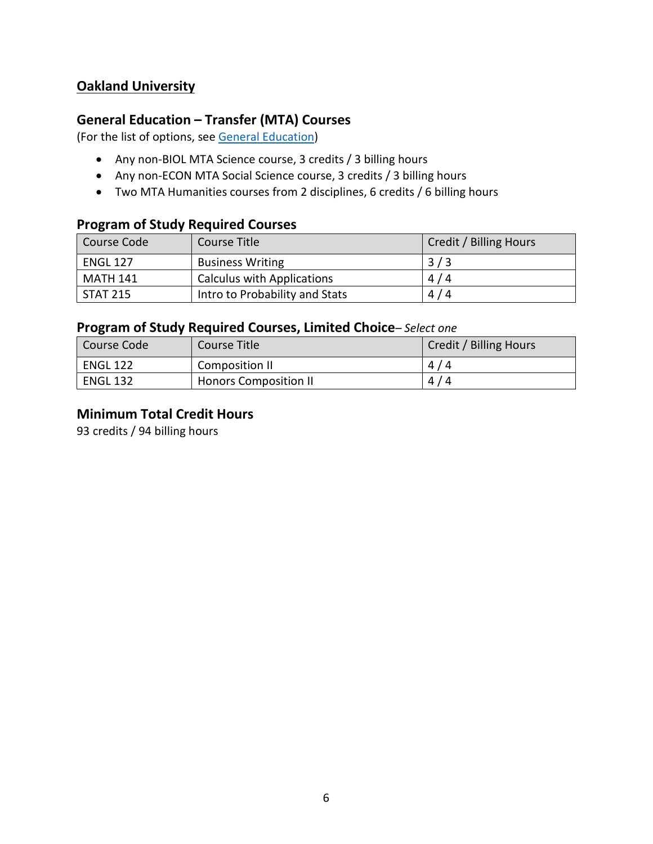## **Oakland University**

### **General Education – Transfer (MTA) Courses**

(For the list of options, see [General Education\)](https://www.lcc.edu/general-education/)

- Any non-BIOL MTA Science course, 3 credits / 3 billing hours
- Any non-ECON MTA Social Science course, 3 credits / 3 billing hours
- Two MTA Humanities courses from 2 disciplines, 6 credits / 6 billing hours

#### **Program of Study Required Courses**

| Course Code     | Course Title                      | Credit / Billing Hours |
|-----------------|-----------------------------------|------------------------|
| <b>ENGL 127</b> | <b>Business Writing</b>           | 3/3                    |
| MATH 141        | <b>Calculus with Applications</b> | 4/4                    |
| <b>STAT 215</b> | Intro to Probability and Stats    | 4/4                    |

### **Program of Study Required Courses, Limited Choice***– Select one*

| Course Code     | Course Title                 | Credit / Billing Hours |
|-----------------|------------------------------|------------------------|
| <b>ENGL 122</b> | Composition II               | 4/4                    |
| <b>ENGL 132</b> | <b>Honors Composition II</b> | 4/4                    |

#### **Minimum Total Credit Hours**

93 credits / 94 billing hours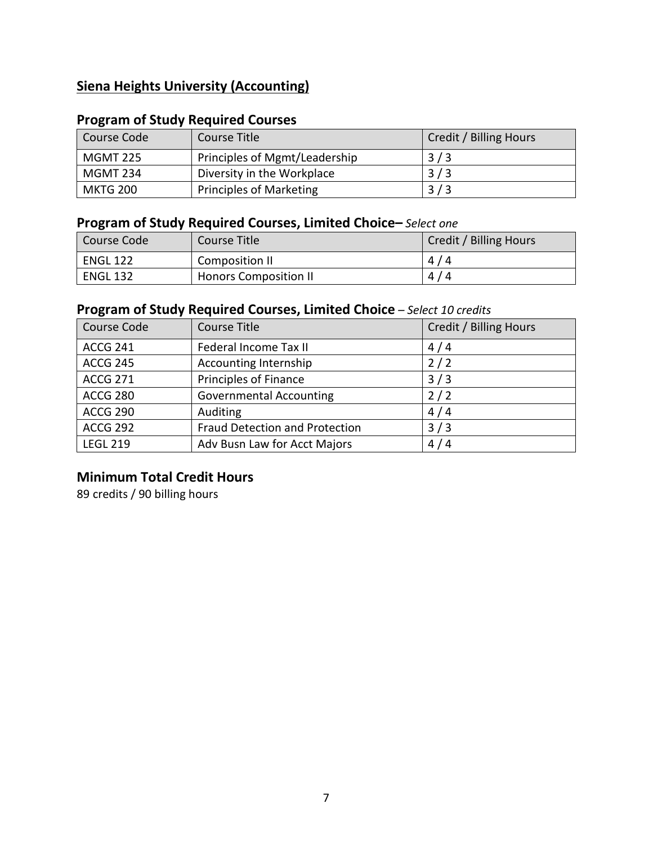## **Siena Heights University (Accounting)**

## **Program of Study Required Courses**

| Course Code     | Course Title                   | Credit / Billing Hours |
|-----------------|--------------------------------|------------------------|
| <b>MGMT 225</b> | Principles of Mgmt/Leadership  | 3/3                    |
| MGMT 234        | Diversity in the Workplace     | 3/3                    |
| MKTG 200        | <b>Principles of Marketing</b> | 3/3                    |

## **Program of Study Required Courses, Limited Choice–** *Select one*

| Course Code     | Course Title                 | Credit / Billing Hours |
|-----------------|------------------------------|------------------------|
| <b>ENGL 122</b> | Composition II               | 4/4                    |
| <b>ENGL 132</b> | <b>Honors Composition II</b> | 4/4                    |

## **Program of Study Required Courses, Limited Choice** *– Select 10 credits*

| Course Code     | Course Title                   | Credit / Billing Hours |
|-----------------|--------------------------------|------------------------|
| <b>ACCG 241</b> | Federal Income Tax II          | 4/4                    |
| <b>ACCG 245</b> | Accounting Internship          | 2/2                    |
| <b>ACCG 271</b> | Principles of Finance          | 3/3                    |
| <b>ACCG 280</b> | Governmental Accounting        | 2/2                    |
| <b>ACCG 290</b> | Auditing                       | 4/4                    |
| <b>ACCG 292</b> | Fraud Detection and Protection | 3/3                    |
| <b>LEGL 219</b> | Adv Busn Law for Acct Majors   | 4/4                    |

## **Minimum Total Credit Hours**

89 credits / 90 billing hours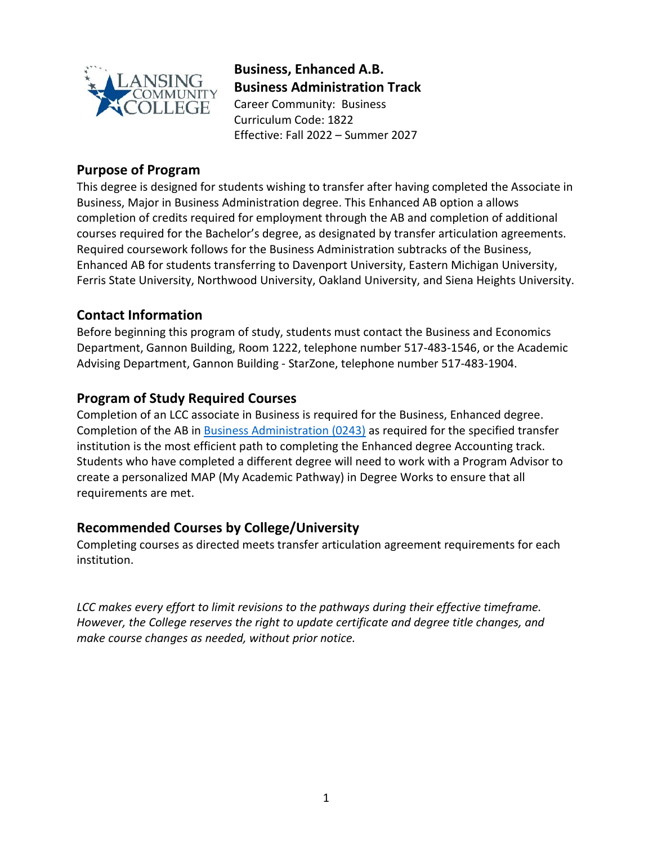

**Business, Enhanced A.B. Business Administration Track** Career Community: Business

Curriculum Code: 1822 Effective: Fall 2022 – Summer 2027

## **Purpose of Program**

This degree is designed for students wishing to transfer after having completed the Associate in Business, Major in Business Administration degree. This Enhanced AB option a allows completion of credits required for employment through the AB and completion of additional courses required for the Bachelor's degree, as designated by transfer articulation agreements. Required coursework follows for the Business Administration subtracks of the Business, Enhanced AB for students transferring to Davenport University, Eastern Michigan University, Ferris State University, Northwood University, Oakland University, and Siena Heights University.

## **Contact Information**

Before beginning this program of study, students must contact the Business and Economics Department, Gannon Building, Room 1222, telephone number 517-483-1546, or the Academic Advising Department, Gannon Building - StarZone, telephone number 517-483-1904.

## **Program of Study Required Courses**

Completion of an LCC associate in Business is required for the Business, Enhanced degree. Completion of the AB in [Business Administration](https://www.lcc.edu/academics/catalog/degree-certificate-programs/pathways/current/applied/0243.pdf) (0243) as required for the specified transfer institution is the most efficient path to completing the Enhanced degree Accounting track. Students who have completed a different degree will need to work with a Program Advisor to create a personalized MAP (My Academic Pathway) in Degree Works to ensure that all requirements are met.

#### **Recommended Courses by College/University**

Completing courses as directed meets transfer articulation agreement requirements for each institution.

*LCC makes every effort to limit revisions to the pathways during their effective timeframe. However, the College reserves the right to update certificate and degree title changes, and make course changes as needed, without prior notice.*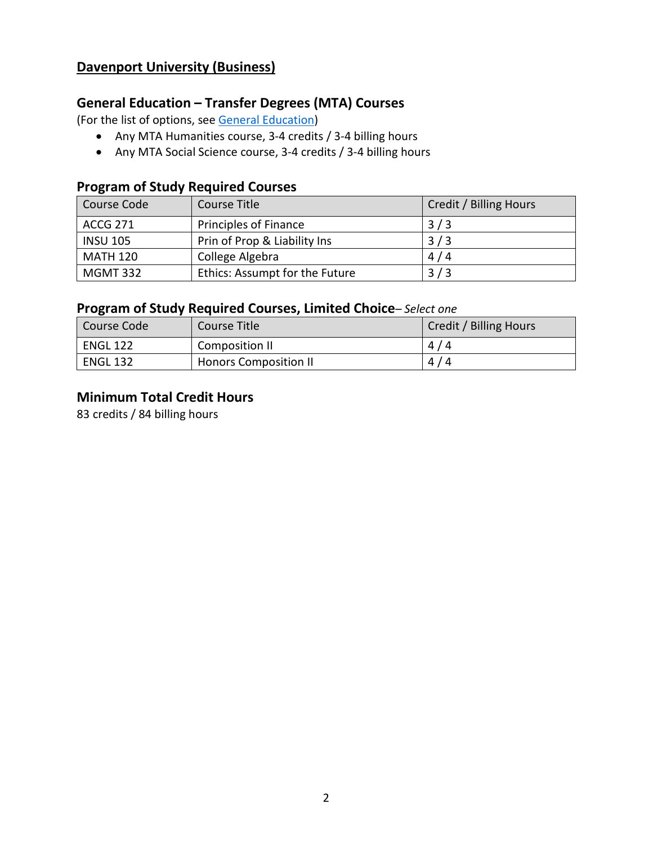## **Davenport University (Business)**

## **General Education – Transfer Degrees (MTA) Courses**

(For the list of options, see [General Education\)](https://www.lcc.edu/general-education/)

- Any MTA Humanities course, 3-4 credits / 3-4 billing hours
- Any MTA Social Science course, 3-4 credits / 3-4 billing hours

#### **Program of Study Required Courses**

| Course Code     | Course Title                   | Credit / Billing Hours |
|-----------------|--------------------------------|------------------------|
| <b>ACCG 271</b> | <b>Principles of Finance</b>   | 3/3                    |
| <b>INSU 105</b> | Prin of Prop & Liability Ins   | 3/3                    |
| <b>MATH 120</b> | College Algebra                | 4/4                    |
| <b>MGMT 332</b> | Ethics: Assumpt for the Future | 3/3                    |

### **Program of Study Required Courses, Limited Choice***– Select one*

| Course Code     | Course Title                 | Credit / Billing Hours |
|-----------------|------------------------------|------------------------|
| ENGL 122        | Composition II               | 4/4                    |
| <b>ENGL 132</b> | <b>Honors Composition II</b> | 4/4                    |

#### **Minimum Total Credit Hours**

83 credits / 84 billing hours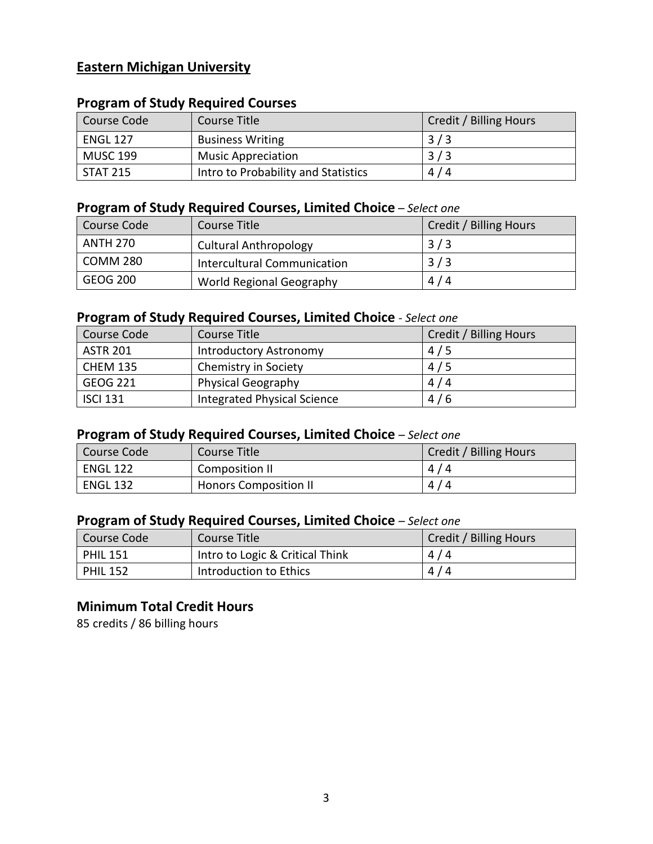## **Eastern Michigan University**

## **Program of Study Required Courses**

| Course Code     | Course Title                        | Credit / Billing Hours |
|-----------------|-------------------------------------|------------------------|
| <b>ENGL 127</b> | <b>Business Writing</b>             | 3/3                    |
| <b>MUSC 199</b> | <b>Music Appreciation</b>           | 3/3                    |
| <b>STAT 215</b> | Intro to Probability and Statistics | 4/4                    |

## **Program of Study Required Courses, Limited Choice** *– Select one*

| Course Code     | Course Title                 | Credit / Billing Hours |
|-----------------|------------------------------|------------------------|
| <b>ANTH 270</b> | <b>Cultural Anthropology</b> | 3/3                    |
| <b>COMM 280</b> | Intercultural Communication  | 3/3                    |
| <b>GEOG 200</b> | World Regional Geography     | 4/4                    |

#### **Program of Study Required Courses, Limited Choice** *- Select one*

| Course Code     | Course Title                       | Credit / Billing Hours |
|-----------------|------------------------------------|------------------------|
| <b>ASTR 201</b> | Introductory Astronomy             | 4/5                    |
| <b>CHEM 135</b> | Chemistry in Society               | 4/5                    |
| <b>GEOG 221</b> | <b>Physical Geography</b>          | 4/4                    |
| <b>ISCI 131</b> | <b>Integrated Physical Science</b> | 4/6                    |

### **Program of Study Required Courses, Limited Choice** *– Select one*

| Course Code     | Course Title                 | Credit / Billing Hours |
|-----------------|------------------------------|------------------------|
| <b>ENGL 122</b> | Composition II               | 4/4                    |
| <b>ENGL 132</b> | <b>Honors Composition II</b> | 4/4                    |

## **Program of Study Required Courses, Limited Choice** *– Select one*

| Course Code     | Course Title                    | Credit / Billing Hours |
|-----------------|---------------------------------|------------------------|
| <b>PHIL 151</b> | Intro to Logic & Critical Think | 4/4                    |
| <b>PHIL 152</b> | Introduction to Ethics          | 4/4                    |

#### **Minimum Total Credit Hours**

85 credits / 86 billing hours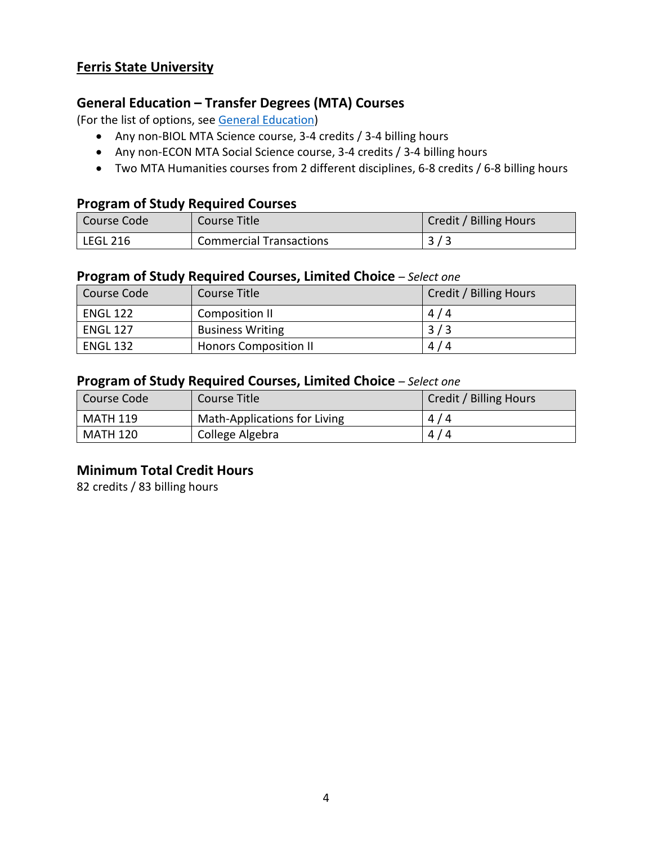## **Ferris State University**

#### **General Education – Transfer Degrees (MTA) Courses**

(For the list of options, see [General Education\)](https://www.lcc.edu/general-education/)

- Any non-BIOL MTA Science course, 3-4 credits / 3-4 billing hours
- Any non-ECON MTA Social Science course, 3-4 credits / 3-4 billing hours
- Two MTA Humanities courses from 2 different disciplines, 6-8 credits / 6-8 billing hours

#### **Program of Study Required Courses**

| Course Code           | Course Title                   | Credit / Billing Hours |
|-----------------------|--------------------------------|------------------------|
| <sup>1</sup> LEGL 216 | <b>Commercial Transactions</b> |                        |

#### **Program of Study Required Courses, Limited Choice** *– Select one*

| Course Code     | Course Title                 | Credit / Billing Hours |
|-----------------|------------------------------|------------------------|
| <b>ENGL 122</b> | Composition II               | 4/4                    |
| <b>ENGL 127</b> | <b>Business Writing</b>      | 3/3                    |
| <b>ENGL 132</b> | <b>Honors Composition II</b> | 4/4                    |

#### **Program of Study Required Courses, Limited Choice** *– Select one*

| Course Code     | Course Title                 | Credit / Billing Hours |
|-----------------|------------------------------|------------------------|
| <b>MATH 119</b> | Math-Applications for Living | 4/4                    |
| <b>MATH 120</b> | College Algebra              | 4/4                    |

#### **Minimum Total Credit Hours**

82 credits / 83 billing hours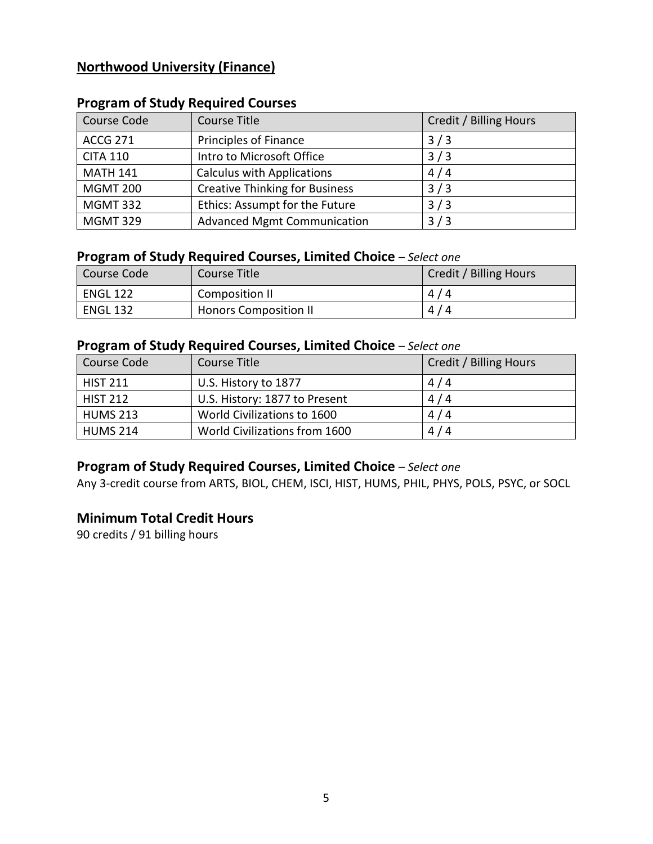## **Northwood University (Finance)**

| Course Code     | Course Title                          | Credit / Billing Hours |
|-----------------|---------------------------------------|------------------------|
| <b>ACCG 271</b> | Principles of Finance                 | 3/3                    |
| <b>CITA 110</b> | Intro to Microsoft Office             | 3/3                    |
| <b>MATH 141</b> | <b>Calculus with Applications</b>     | 4/4                    |
| <b>MGMT 200</b> | <b>Creative Thinking for Business</b> | 3/3                    |
| <b>MGMT 332</b> | Ethics: Assumpt for the Future        | 3/3                    |
| <b>MGMT 329</b> | <b>Advanced Mgmt Communication</b>    | 3/3                    |

## **Program of Study Required Courses**

### **Program of Study Required Courses, Limited Choice** *– Select one*

| Course Code     | Course Title                 | Credit / Billing Hours |
|-----------------|------------------------------|------------------------|
| <b>ENGL 122</b> | Composition II               | 4/4                    |
| <b>ENGL 132</b> | <b>Honors Composition II</b> | 4/4                    |

### **Program of Study Required Courses, Limited Choice** *– Select one*

| Course Code     | Course Title                  | Credit / Billing Hours |
|-----------------|-------------------------------|------------------------|
| <b>HIST 211</b> | U.S. History to 1877          | 4/4                    |
| <b>HIST 212</b> | U.S. History: 1877 to Present | 4/4                    |
| <b>HUMS 213</b> | World Civilizations to 1600   | 4/4                    |
| <b>HUMS 214</b> | World Civilizations from 1600 | 4/4                    |

## **Program of Study Required Courses, Limited Choice** *– Select one*

Any 3-credit course from ARTS, BIOL, CHEM, ISCI, HIST, HUMS, PHIL, PHYS, POLS, PSYC, or SOCL

## **Minimum Total Credit Hours**

90 credits / 91 billing hours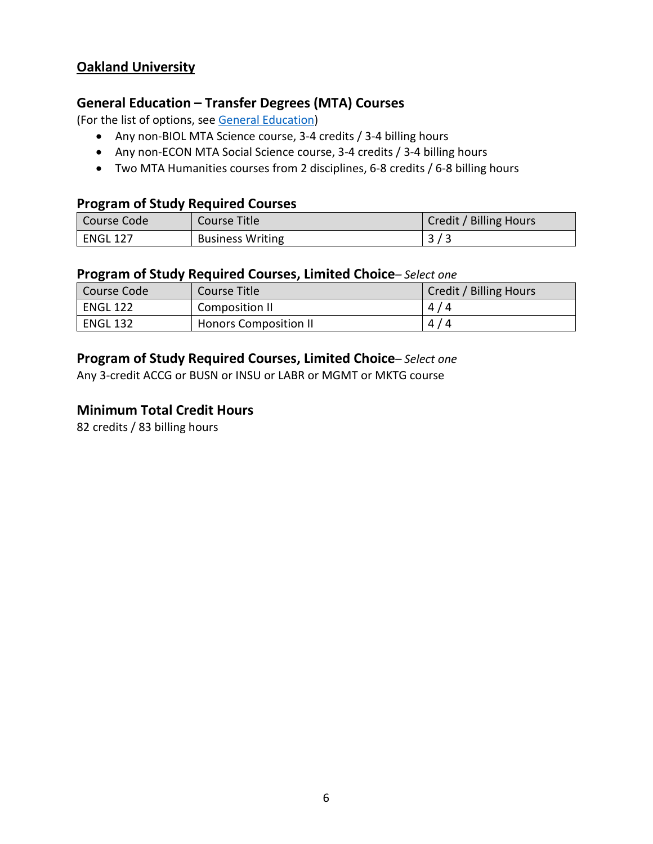## **Oakland University**

#### **General Education – Transfer Degrees (MTA) Courses**

(For the list of options, see [General Education\)](https://www.lcc.edu/general-education/)

- Any non-BIOL MTA Science course, 3-4 credits / 3-4 billing hours
- Any non-ECON MTA Social Science course, 3-4 credits / 3-4 billing hours
- Two MTA Humanities courses from 2 disciplines, 6-8 credits / 6-8 billing hours

#### **Program of Study Required Courses**

| Course Code     | Course Title            | Credit / Billing Hours |
|-----------------|-------------------------|------------------------|
| <b>ENGL 127</b> | <b>Business Writing</b> |                        |

#### **Program of Study Required Courses, Limited Choice***– Select one*

| Course Code     | Course Title                 | Credit / Billing Hours |
|-----------------|------------------------------|------------------------|
| <b>ENGL 122</b> | Composition II               | 4/4                    |
| <b>ENGL 132</b> | <b>Honors Composition II</b> | 4/4                    |

### **Program of Study Required Courses, Limited Choice***– Select one*

Any 3-credit ACCG or BUSN or INSU or LABR or MGMT or MKTG course

#### **Minimum Total Credit Hours**

82 credits / 83 billing hours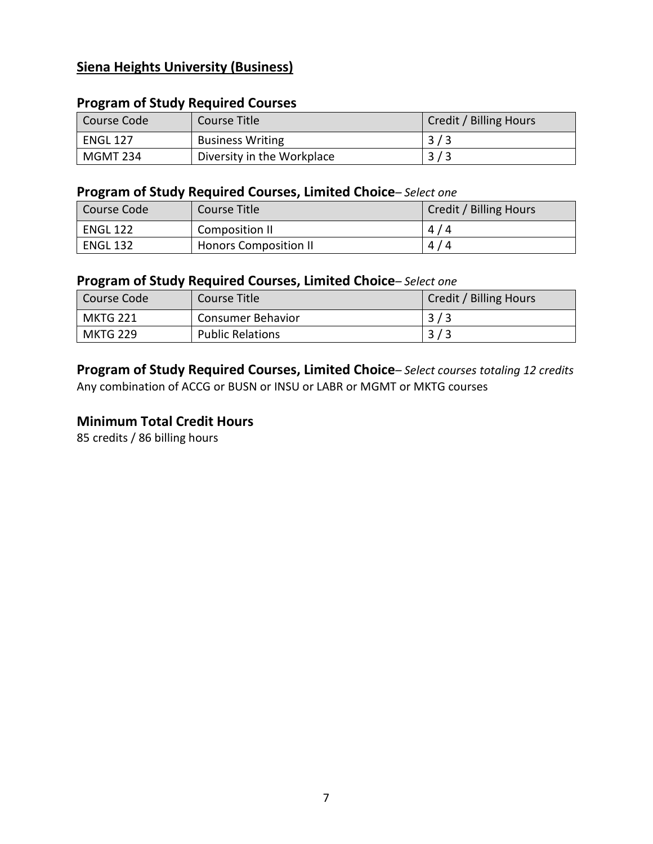## **Siena Heights University (Business)**

# Course Code Course Title Course Title Course Code Course Code Course Course Course Course Course Course Title ENGL 127 Business Writing 2/3 MGMT 234 Diversity in the Workplace 3/3

#### **Program of Study Required Courses**

#### **Program of Study Required Courses, Limited Choice***– Select one*

| Course Code     | Course Title                 | Credit / Billing Hours |
|-----------------|------------------------------|------------------------|
| <b>ENGL 122</b> | Composition II               | 4/4                    |
| <b>ENGL 132</b> | <b>Honors Composition II</b> | 4/4                    |

#### **Program of Study Required Courses, Limited Choice***– Select one*

| l Course Code   | Course Title            | Credit / Billing Hours |
|-----------------|-------------------------|------------------------|
| <b>MKTG 221</b> | Consumer Behavior       | 3/3                    |
| <b>MKTG 229</b> | <b>Public Relations</b> |                        |

**Program of Study Required Courses, Limited Choice***– Select courses totaling 12 credits* Any combination of ACCG or BUSN or INSU or LABR or MGMT or MKTG courses

#### **Minimum Total Credit Hours**

85 credits / 86 billing hours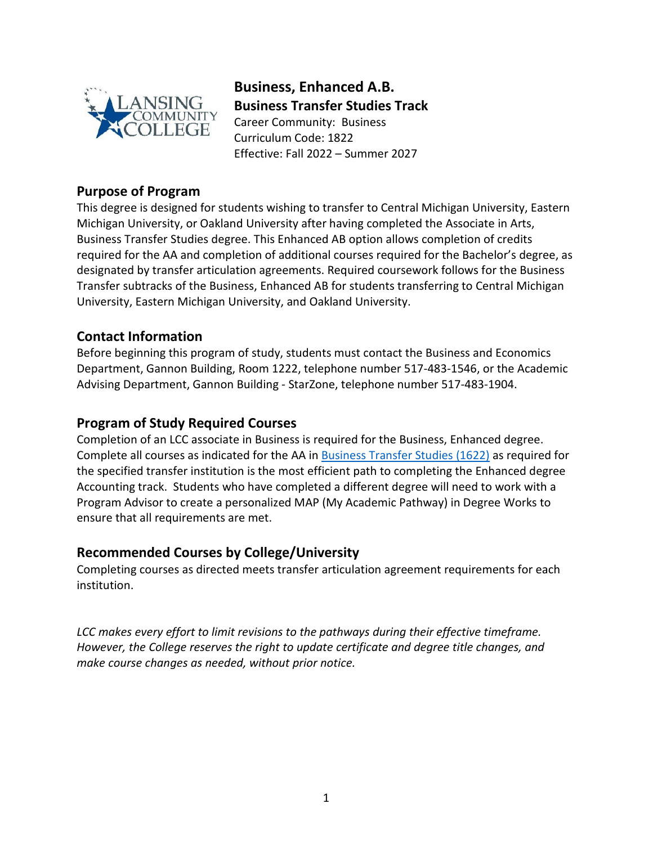

**Business, Enhanced A.B. Business Transfer Studies Track** Career Community: Business Curriculum Code: 1822 Effective: Fall 2022 – Summer 2027

#### **Purpose of Program**

This degree is designed for students wishing to transfer to Central Michigan University, Eastern Michigan University, or Oakland University after having completed the Associate in Arts, Business Transfer Studies degree. This Enhanced AB option allows completion of credits required for the AA and completion of additional courses required for the Bachelor's degree, as designated by transfer articulation agreements. Required coursework follows for the Business Transfer subtracks of the Business, Enhanced AB for students transferring to Central Michigan University, Eastern Michigan University, and Oakland University.

## **Contact Information**

Before beginning this program of study, students must contact the Business and Economics Department, Gannon Building, Room 1222, telephone number 517-483-1546, or the Academic Advising Department, Gannon Building - StarZone, telephone number 517-483-1904.

## **Program of Study Required Courses**

Completion of an LCC associate in Business is required for the Business, Enhanced degree. Complete all courses as indicated for the AA in [Business](https://www.lcc.edu/academics/catalog/degree-certificate-programs/pathways/current/aa/1622.pdf) Transfer Studies (1622) as required for the specified transfer institution is the most efficient path to completing the Enhanced degree Accounting track. Students who have completed a different degree will need to work with a Program Advisor to create a personalized MAP (My Academic Pathway) in Degree Works to ensure that all requirements are met.

#### **Recommended Courses by College/University**

Completing courses as directed meets transfer articulation agreement requirements for each institution.

*LCC makes every effort to limit revisions to the pathways during their effective timeframe. However, the College reserves the right to update certificate and degree title changes, and make course changes as needed, without prior notice.*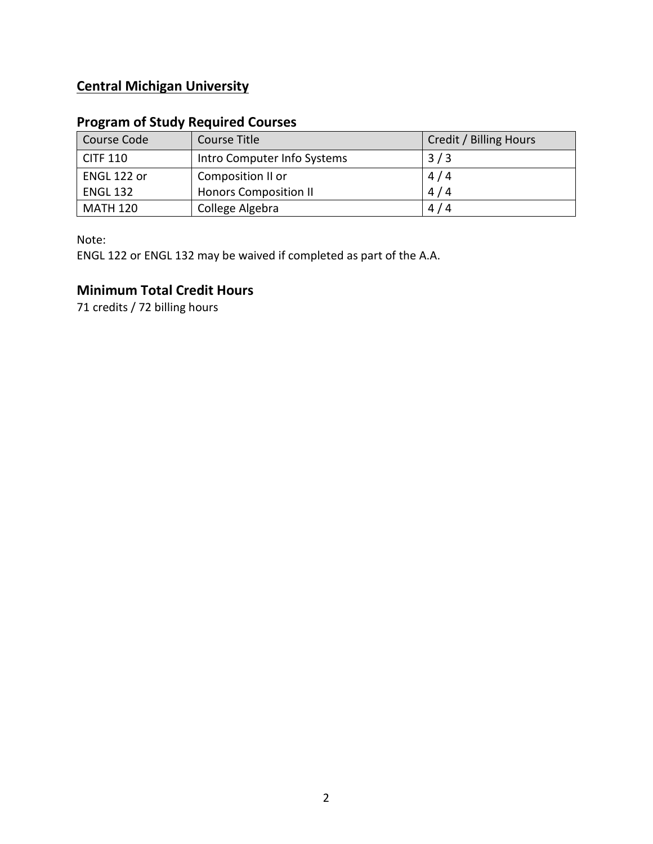## **Central Michigan University**

## **Program of Study Required Courses**

| Course Code     | Course Title                 | Credit / Billing Hours |
|-----------------|------------------------------|------------------------|
| <b>CITF 110</b> | Intro Computer Info Systems  | 3/3                    |
| ENGL 122 or     | Composition II or            | 4/4                    |
| <b>ENGL 132</b> | <b>Honors Composition II</b> | 4/4                    |
| <b>MATH 120</b> | College Algebra              | 4/4                    |

Note:

ENGL 122 or ENGL 132 may be waived if completed as part of the A.A.

## **Minimum Total Credit Hours**

71 credits / 72 billing hours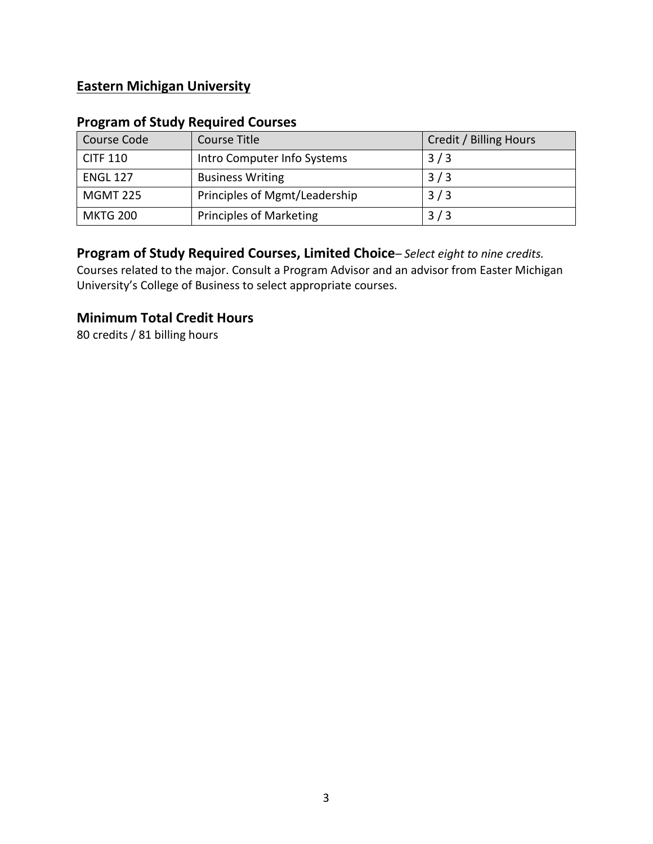## **Eastern Michigan University**

## **Program of Study Required Courses**

| Course Code     | Course Title                   | Credit / Billing Hours |
|-----------------|--------------------------------|------------------------|
| <b>CITF 110</b> | Intro Computer Info Systems    | 3/3                    |
| <b>ENGL 127</b> | <b>Business Writing</b>        | 3/3                    |
| <b>MGMT 225</b> | Principles of Mgmt/Leadership  | 3/3                    |
| <b>MKTG 200</b> | <b>Principles of Marketing</b> | 3/3                    |

## **Program of Study Required Courses, Limited Choice***– Select eight to nine credits.*

Courses related to the major. Consult a Program Advisor and an advisor from Easter Michigan University's College of Business to select appropriate courses.

### **Minimum Total Credit Hours**

80 credits / 81 billing hours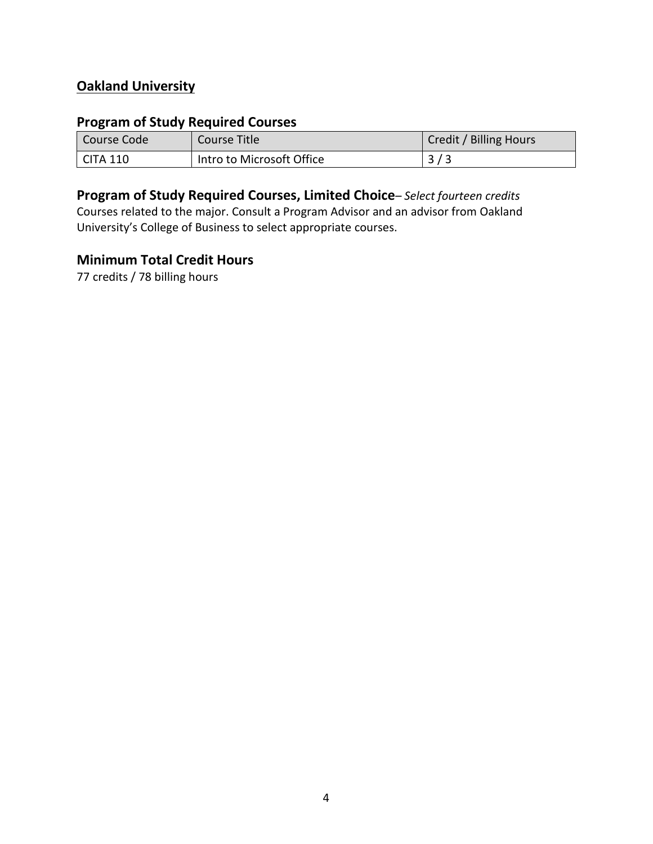## **Oakland University**

## **Program of Study Required Courses**

| Course Code          | Course Title              | Credit / Billing Hours |
|----------------------|---------------------------|------------------------|
| $\mathsf I$ CITA 110 | Intro to Microsoft Office |                        |

## **Program of Study Required Courses, Limited Choice***– Select fourteen credits*

Courses related to the major. Consult a Program Advisor and an advisor from Oakland University's College of Business to select appropriate courses.

#### **Minimum Total Credit Hours**

77 credits / 78 billing hours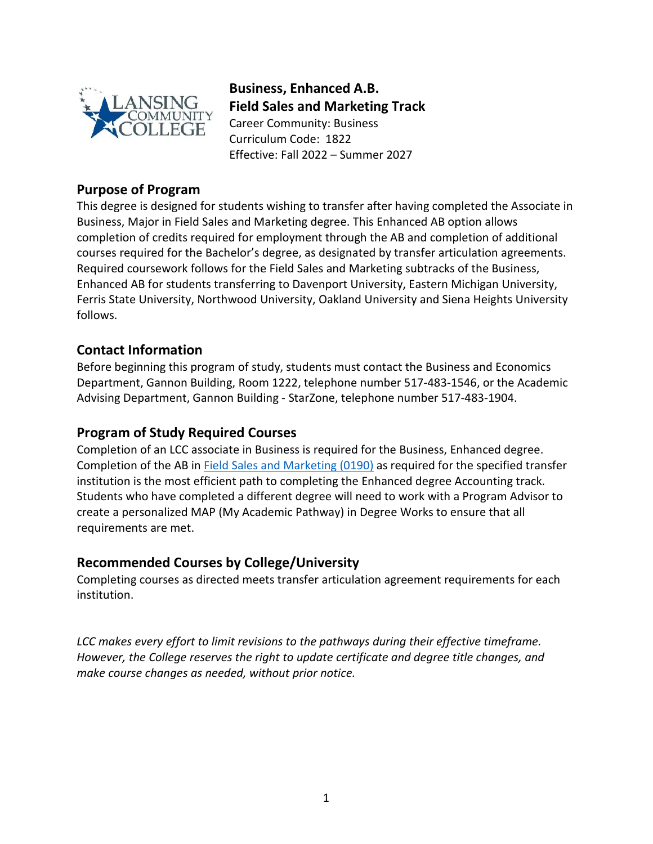

**Business, Enhanced A.B. Field Sales and Marketing Track**  Career Community: Business Curriculum Code: 1822 Effective: Fall 2022 – Summer 2027

### **Purpose of Program**

This degree is designed for students wishing to transfer after having completed the Associate in Business, Major in Field Sales and Marketing degree. This Enhanced AB option allows completion of credits required for employment through the AB and completion of additional courses required for the Bachelor's degree, as designated by transfer articulation agreements. Required coursework follows for the Field Sales and Marketing subtracks of the Business, Enhanced AB for students transferring to Davenport University, Eastern Michigan University, Ferris State University, Northwood University, Oakland University and Siena Heights University follows.

#### **Contact Information**

Before beginning this program of study, students must contact the Business and Economics Department, Gannon Building, Room 1222, telephone number 517-483-1546, or the Academic Advising Department, Gannon Building - StarZone, telephone number 517-483-1904.

## **Program of Study Required Courses**

Completion of an LCC associate in Business is required for the Business, Enhanced degree. Completion of the AB in [Field Sales and Marketing](https://www.lcc.edu/academics/catalog/degree-certificate-programs/pathways/current/applied/0190.pdfhttps:/www.lcc.edu/academics/catalog/degree-certificate-programs/pathways/current/applied/0190.pdf) (0190) as required for the specified transfer institution is the most efficient path to completing the Enhanced degree Accounting track. Students who have completed a different degree will need to work with a Program Advisor to create a personalized MAP (My Academic Pathway) in Degree Works to ensure that all requirements are met.

#### **Recommended Courses by College/University**

Completing courses as directed meets transfer articulation agreement requirements for each institution.

*LCC makes every effort to limit revisions to the pathways during their effective timeframe. However, the College reserves the right to update certificate and degree title changes, and make course changes as needed, without prior notice.*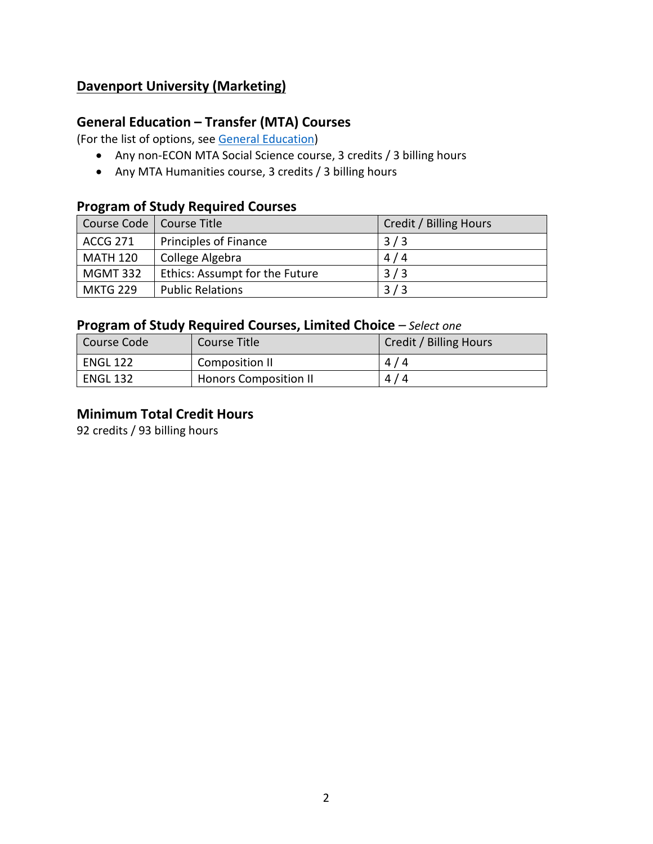## **Davenport University (Marketing)**

## **General Education – Transfer (MTA) Courses**

(For the list of options, see [General Education\)](https://www.lcc.edu/general-education/)

- Any non-ECON MTA Social Science course, 3 credits / 3 billing hours
- Any MTA Humanities course, 3 credits / 3 billing hours

## **Program of Study Required Courses**

| Course Code   Course Title |                                | Credit / Billing Hours |
|----------------------------|--------------------------------|------------------------|
| <b>ACCG 271</b>            | <b>Principles of Finance</b>   | 3/3                    |
| <b>MATH 120</b>            | College Algebra                | 4/4                    |
| <b>MGMT 332</b>            | Ethics: Assumpt for the Future | 3/3                    |
| <b>MKTG 229</b>            | <b>Public Relations</b>        | 3/3                    |

### **Program of Study Required Courses, Limited Choice** *– Select one*

| Course Code     | Course Title                 | Credit / Billing Hours |
|-----------------|------------------------------|------------------------|
| <b>ENGL 122</b> | Composition II               | 4/4                    |
| <b>ENGL 132</b> | <b>Honors Composition II</b> | 4/4                    |

## **Minimum Total Credit Hours**

92 credits / 93 billing hours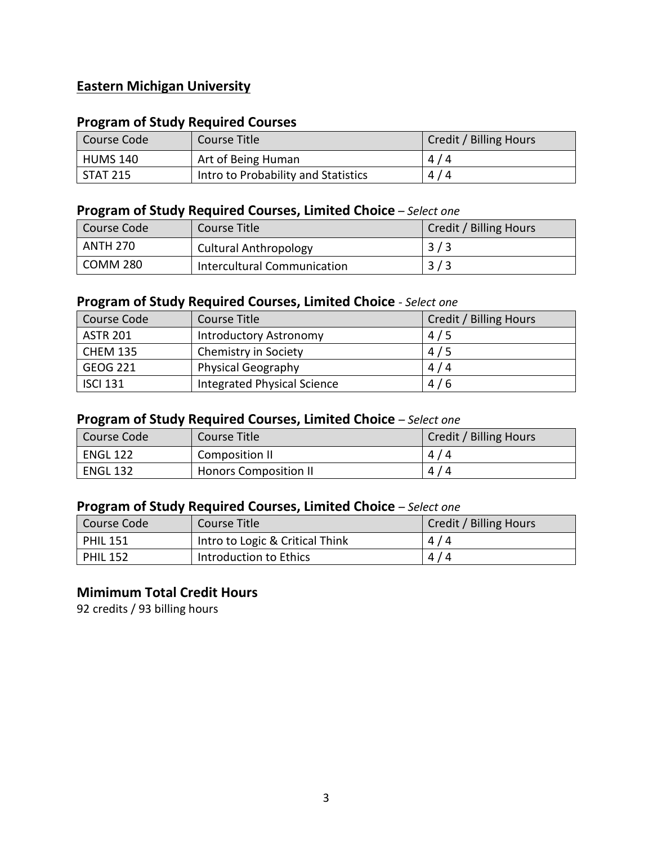## **Eastern Michigan University**

#### **Program of Study Required Courses**

| Course Code     | Course Title                        | Credit / Billing Hours |
|-----------------|-------------------------------------|------------------------|
| <b>HUMS 140</b> | Art of Being Human                  | 4/4                    |
| <b>STAT 215</b> | Intro to Probability and Statistics | 4/4                    |

#### **Program of Study Required Courses, Limited Choice** *– Select one*

| Course Code | Course Title                 | Credit / Billing Hours |
|-------------|------------------------------|------------------------|
| ANTH 270    | <b>Cultural Anthropology</b> | 3/3                    |
| COMM 280    | Intercultural Communication  | 3/3                    |

## **Program of Study Required Courses, Limited Choice** *- Select one*

| Course Code     | Course Title                | Credit / Billing Hours |
|-----------------|-----------------------------|------------------------|
| <b>ASTR 201</b> | Introductory Astronomy      | 4/5                    |
| <b>CHEM 135</b> | Chemistry in Society        | 4/5                    |
| <b>GEOG 221</b> | <b>Physical Geography</b>   | 4/4                    |
| <b>ISCI 131</b> | Integrated Physical Science | 4/6                    |

## **Program of Study Required Courses, Limited Choice** *– Select one*

| Course Code     | Course Title                 | Credit / Billing Hours |
|-----------------|------------------------------|------------------------|
| <b>ENGL 122</b> | Composition II               | 4/4                    |
| <b>ENGL 132</b> | <b>Honors Composition II</b> | 4/4                    |

## **Program of Study Required Courses, Limited Choice** *– Select one*

| Course Code     | Course Title                    | Credit / Billing Hours |
|-----------------|---------------------------------|------------------------|
| <b>PHIL 151</b> | Intro to Logic & Critical Think | 4/4                    |
| <b>PHIL 152</b> | Introduction to Ethics          | 4/4                    |

#### **Mimimum Total Credit Hours**

92 credits / 93 billing hours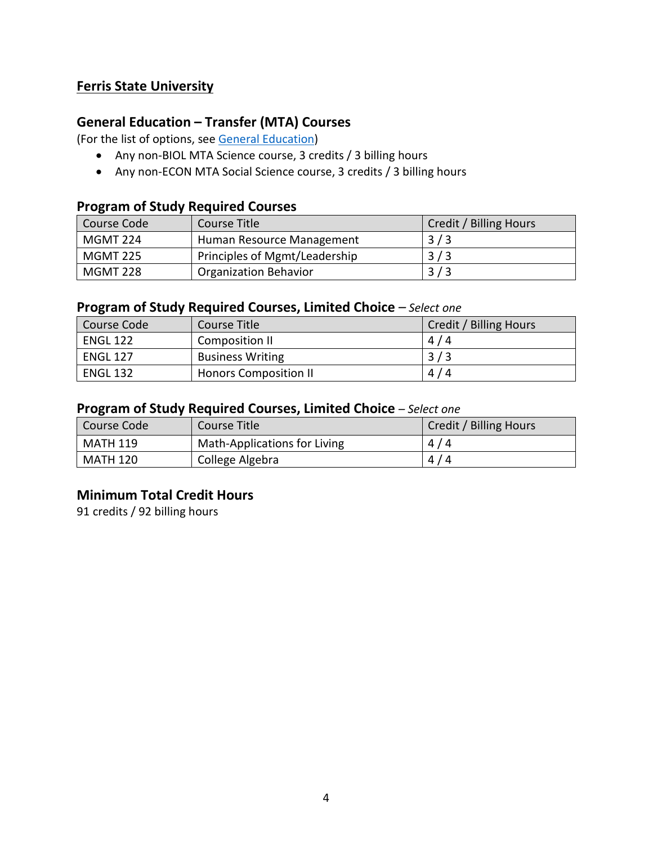## **Ferris State University**

## **General Education – Transfer (MTA) Courses**

(For the list of options, see [General Education\)](https://www.lcc.edu/general-education/)

- Any non-BIOL MTA Science course, 3 credits / 3 billing hours
- Any non-ECON MTA Social Science course, 3 credits / 3 billing hours

#### **Program of Study Required Courses**

| Course Code     | Course Title                  | <b>Credit / Billing Hours</b> |
|-----------------|-------------------------------|-------------------------------|
| MGMT 224        | Human Resource Management     | 3/3                           |
| <b>MGMT 225</b> | Principles of Mgmt/Leadership | 3/3                           |
| MGMT 228        | <b>Organization Behavior</b>  | 3/3                           |

#### **Program of Study Required Courses, Limited Choice** *– Select one*

| Course Code     | Course Title                 | Credit / Billing Hours |
|-----------------|------------------------------|------------------------|
| <b>ENGL 122</b> | Composition II               | 4/4                    |
| <b>ENGL 127</b> | <b>Business Writing</b>      | 3/3                    |
| <b>ENGL 132</b> | <b>Honors Composition II</b> | 4/4                    |

#### **Program of Study Required Courses, Limited Choice** *– Select one*

| l Course Code | Course Title                 | Credit / Billing Hours |
|---------------|------------------------------|------------------------|
| l MATH 119    | Math-Applications for Living | 4/4                    |
| MATH 120      | College Algebra              | 4/4                    |

## **Minimum Total Credit Hours**

91 credits / 92 billing hours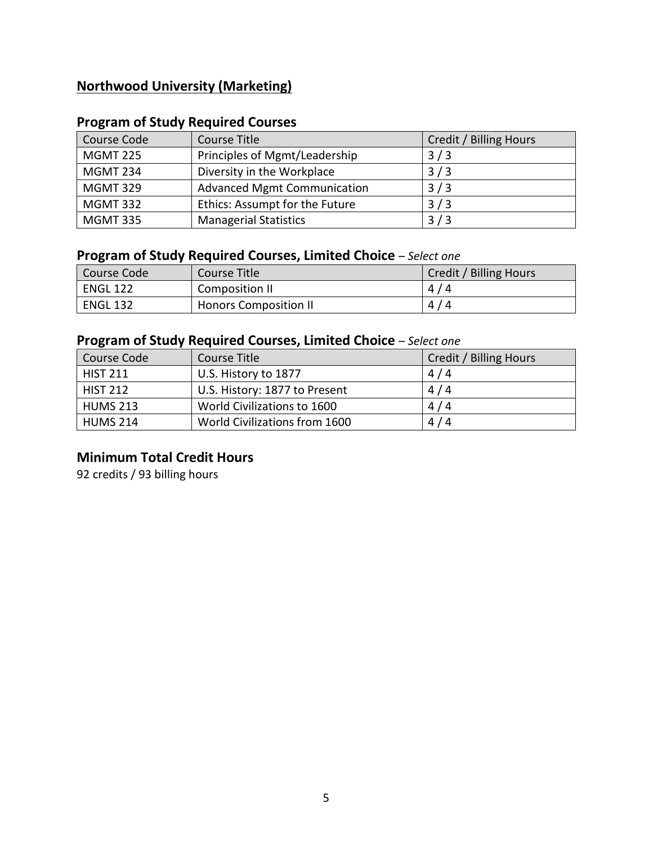## **Northwood University (Marketing)**

## **Program of Study Required Courses**

| Course Code     | Course Title                       | Credit / Billing Hours |
|-----------------|------------------------------------|------------------------|
| <b>MGMT 225</b> | Principles of Mgmt/Leadership      | 3/3                    |
| <b>MGMT 234</b> | Diversity in the Workplace         | 3/3                    |
| <b>MGMT 329</b> | <b>Advanced Mgmt Communication</b> | 3/3                    |
| <b>MGMT 332</b> | Ethics: Assumpt for the Future     | 3/3                    |
| <b>MGMT 335</b> | <b>Managerial Statistics</b>       | 3/3                    |

## **Program of Study Required Courses, Limited Choice** *– Select one*

| Course Code     | Course Title                 | Credit / Billing Hours |
|-----------------|------------------------------|------------------------|
| <b>ENGL 122</b> | Composition II               | 4/4                    |
| <b>ENGL 132</b> | <b>Honors Composition II</b> | 4/4                    |

## **Program of Study Required Courses, Limited Choice** *– Select one*

| Course Code     | Course Title                  | Credit / Billing Hours |
|-----------------|-------------------------------|------------------------|
| <b>HIST 211</b> | U.S. History to 1877          | 4/4                    |
| <b>HIST 212</b> | U.S. History: 1877 to Present | 4/4                    |
| <b>HUMS 213</b> | World Civilizations to 1600   | 4/4                    |
| <b>HUMS 214</b> | World Civilizations from 1600 | 4/4                    |

## **Minimum Total Credit Hours**

92 credits / 93 billing hours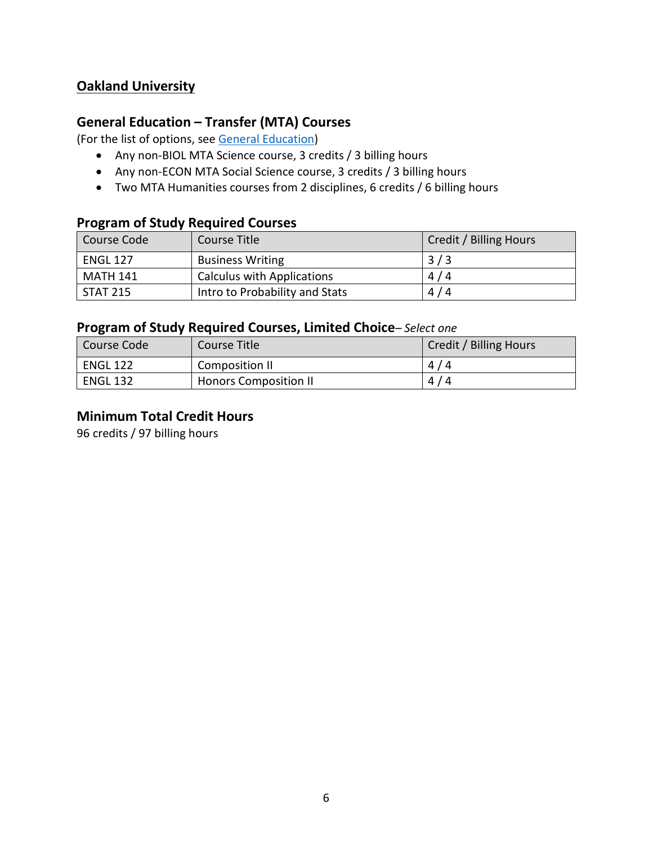## **Oakland University**

## **General Education – Transfer (MTA) Courses**

(For the list of options, see [General Education\)](https://www.lcc.edu/general-education/)

- Any non-BIOL MTA Science course, 3 credits / 3 billing hours
- Any non-ECON MTA Social Science course, 3 credits / 3 billing hours
- Two MTA Humanities courses from 2 disciplines, 6 credits / 6 billing hours

#### **Program of Study Required Courses**

| Course Code     | Course Title                      | Credit / Billing Hours |
|-----------------|-----------------------------------|------------------------|
| <b>ENGL 127</b> | <b>Business Writing</b>           | 3/3                    |
| <b>MATH 141</b> | <b>Calculus with Applications</b> | 4/4                    |
| <b>STAT 215</b> | Intro to Probability and Stats    | 4/4                    |

### **Program of Study Required Courses, Limited Choice***– Select one*

| Course Code     | Course Title                 | Credit / Billing Hours |
|-----------------|------------------------------|------------------------|
| <b>ENGL 122</b> | Composition II               | 4/4                    |
| <b>ENGL 132</b> | <b>Honors Composition II</b> | 4/4                    |

## **Minimum Total Credit Hours**

96 credits / 97 billing hours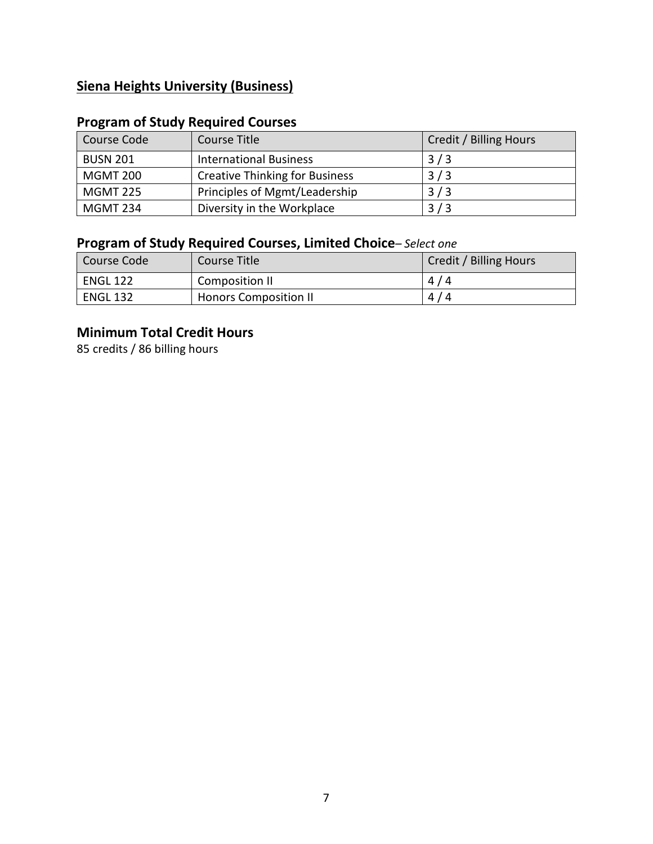## **Siena Heights University (Business)**

## **Program of Study Required Courses**

| Course Code     | Course Title                          | Credit / Billing Hours |
|-----------------|---------------------------------------|------------------------|
| <b>BUSN 201</b> | <b>International Business</b>         | 3/3                    |
| <b>MGMT 200</b> | <b>Creative Thinking for Business</b> | 3/3                    |
| <b>MGMT 225</b> | Principles of Mgmt/Leadership         | 3/3                    |
| <b>MGMT 234</b> | Diversity in the Workplace            | 3/3                    |

# **Program of Study Required Courses, Limited Choice***– Select one*

| Course Code     | Course Title                 | Credit / Billing Hours |
|-----------------|------------------------------|------------------------|
| <b>ENGL 122</b> | Composition II               | 4/4                    |
| <b>ENGL 132</b> | <b>Honors Composition II</b> | 4/4                    |

## **Minimum Total Credit Hours**

85 credits / 86 billing hours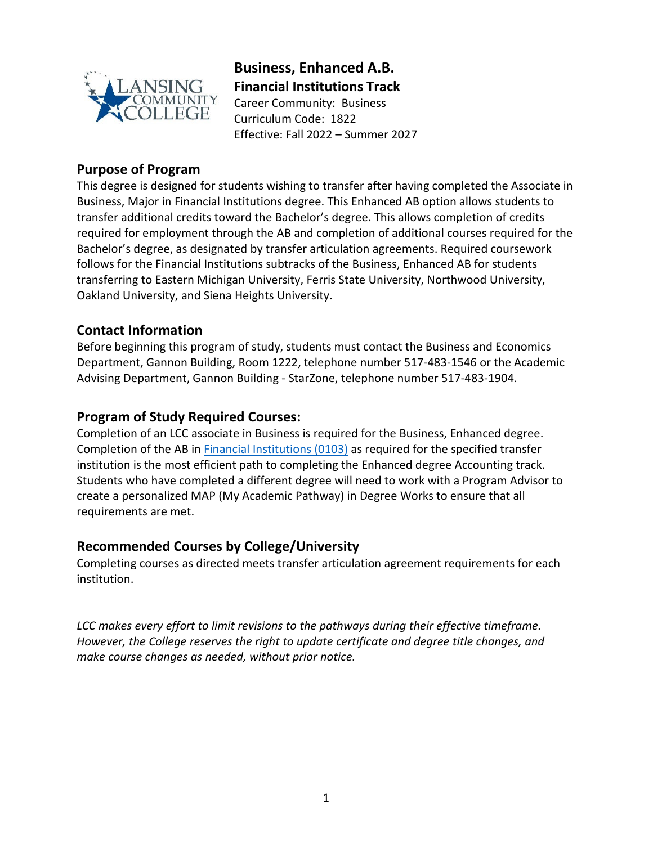

**Business, Enhanced A.B. Financial Institutions Track** Career Community: Business Curriculum Code: 1822

Effective: Fall 2022 – Summer 2027

## **Purpose of Program**

This degree is designed for students wishing to transfer after having completed the Associate in Business, Major in Financial Institutions degree. This Enhanced AB option allows students to transfer additional credits toward the Bachelor's degree. This allows completion of credits required for employment through the AB and completion of additional courses required for the Bachelor's degree, as designated by transfer articulation agreements. Required coursework follows for the Financial Institutions subtracks of the Business, Enhanced AB for students transferring to Eastern Michigan University, Ferris State University, Northwood University, Oakland University, and Siena Heights University.

## **Contact Information**

Before beginning this program of study, students must contact the Business and Economics Department, Gannon Building, Room 1222, telephone number 517-483-1546 or the Academic Advising Department, Gannon Building - StarZone, telephone number 517-483-1904.

## **Program of Study Required Courses:**

Completion of an LCC associate in Business is required for the Business, Enhanced degree. Completion of the AB in [Financial Institutions](https://www.lcc.edu/academics/catalog/degree-certificate-programs/pathways/current/applied/0103.pdf) (0103) as required for the specified transfer institution is the most efficient path to completing the Enhanced degree Accounting track. Students who have completed a different degree will need to work with a Program Advisor to create a personalized MAP (My Academic Pathway) in Degree Works to ensure that all requirements are met.

#### **Recommended Courses by College/University**

Completing courses as directed meets transfer articulation agreement requirements for each institution.

*LCC makes every effort to limit revisions to the pathways during their effective timeframe. However, the College reserves the right to update certificate and degree title changes, and make course changes as needed, without prior notice.*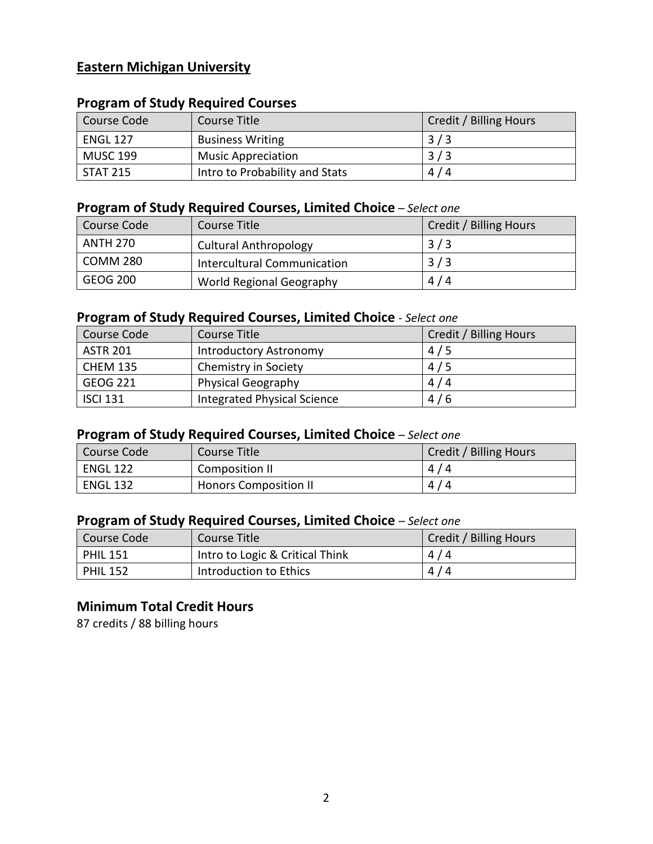## **Eastern Michigan University**

## **Program of Study Required Courses**

| Course Code     | <b>Course Title</b>            | Credit / Billing Hours |
|-----------------|--------------------------------|------------------------|
| <b>ENGL 127</b> | <b>Business Writing</b>        | 3/3                    |
| <b>MUSC 199</b> | <b>Music Appreciation</b>      | 3/3                    |
| <b>STAT 215</b> | Intro to Probability and Stats | 4/4                    |

## **Program of Study Required Courses, Limited Choice** *– Select one*

| Course Code     | Course Title                 | Credit / Billing Hours |
|-----------------|------------------------------|------------------------|
| <b>ANTH 270</b> | <b>Cultural Anthropology</b> | 3/3                    |
| <b>COMM 280</b> | Intercultural Communication  | 3/3                    |
| <b>GEOG 200</b> | World Regional Geography     | 4/4                    |

#### **Program of Study Required Courses, Limited Choice** *- Select one*

| Course Code     | Course Title                       | Credit / Billing Hours |
|-----------------|------------------------------------|------------------------|
| <b>ASTR 201</b> | Introductory Astronomy             | 4/5                    |
| <b>CHEM 135</b> | Chemistry in Society               | 4/5                    |
| <b>GEOG 221</b> | <b>Physical Geography</b>          | 4/4                    |
| <b>ISCI 131</b> | <b>Integrated Physical Science</b> | 4/6                    |

### **Program of Study Required Courses, Limited Choice** *– Select one*

| Course Code     | Course Title                 | Credit / Billing Hours |
|-----------------|------------------------------|------------------------|
| <b>ENGL 122</b> | Composition II               | 4/4                    |
| <b>ENGL 132</b> | <b>Honors Composition II</b> | 4/4                    |

## **Program of Study Required Courses, Limited Choice** *– Select one*

| Course Code     | Course Title                    | Credit / Billing Hours |
|-----------------|---------------------------------|------------------------|
| <b>PHIL 151</b> | Intro to Logic & Critical Think | 4/4                    |
| <b>PHIL 152</b> | Introduction to Ethics          | 4/4                    |

#### **Minimum Total Credit Hours**

87 credits / 88 billing hours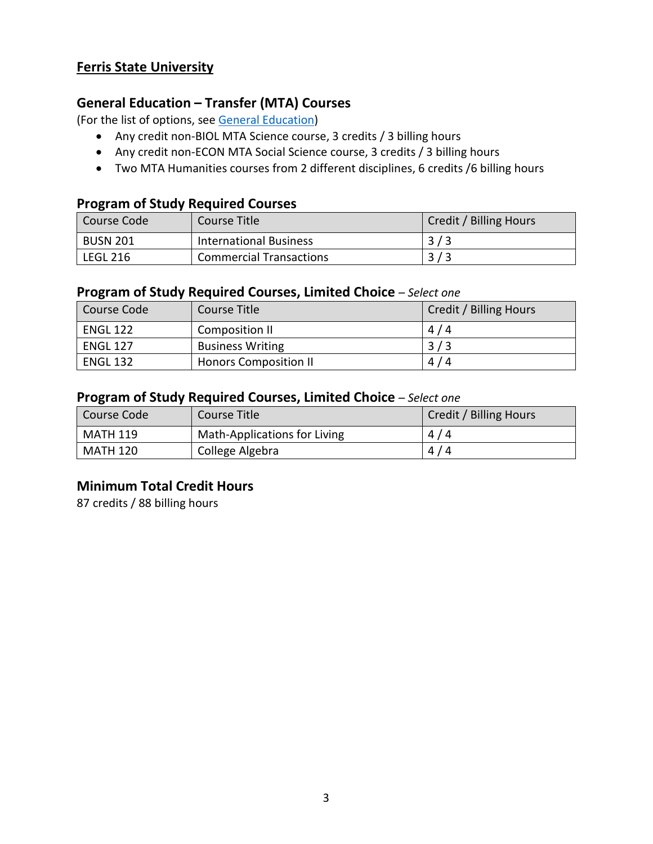### **Ferris State University**

#### **General Education – Transfer (MTA) Courses**

(For the list of options, see [General Education\)](https://www.lcc.edu/general-education/)

- Any credit non-BIOL MTA Science course, 3 credits / 3 billing hours
- Any credit non-ECON MTA Social Science course, 3 credits / 3 billing hours
- Two MTA Humanities courses from 2 different disciplines, 6 credits /6 billing hours

#### **Program of Study Required Courses**

| Course Code     | Course Title                   | Credit / Billing Hours |
|-----------------|--------------------------------|------------------------|
| <b>BUSN 201</b> | <b>International Business</b>  | 3/3                    |
| <b>LEGL 216</b> | <b>Commercial Transactions</b> | 3/3                    |

#### **Program of Study Required Courses, Limited Choice** *– Select one*

| Course Code     | Course Title                 | Credit / Billing Hours |
|-----------------|------------------------------|------------------------|
| <b>ENGL 122</b> | Composition II               | 4/4                    |
| <b>ENGL 127</b> | <b>Business Writing</b>      | 3/3                    |
| <b>ENGL 132</b> | <b>Honors Composition II</b> | 4/4                    |

#### **Program of Study Required Courses, Limited Choice** *– Select one*

| Course Code     | Course Title                 | Credit / Billing Hours |
|-----------------|------------------------------|------------------------|
| <b>MATH 119</b> | Math-Applications for Living | 4/4                    |
| <b>MATH 120</b> | College Algebra              | 4/4                    |

#### **Minimum Total Credit Hours**

87 credits / 88 billing hours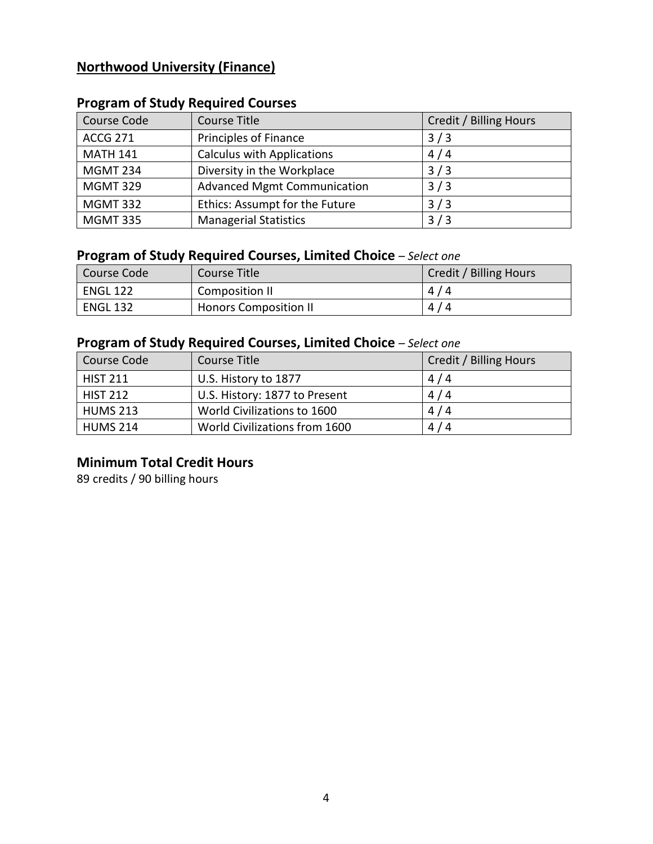## **Northwood University (Finance)**

| Course Code     | Course Title                       | Credit / Billing Hours |
|-----------------|------------------------------------|------------------------|
| <b>ACCG 271</b> | Principles of Finance              | 3/3                    |
| <b>MATH 141</b> | <b>Calculus with Applications</b>  | 4/4                    |
| <b>MGMT 234</b> | Diversity in the Workplace         | 3/3                    |
| <b>MGMT 329</b> | <b>Advanced Mgmt Communication</b> | 3/3                    |
| <b>MGMT 332</b> | Ethics: Assumpt for the Future     | 3/3                    |
| <b>MGMT 335</b> | <b>Managerial Statistics</b>       | 3/3                    |

## **Program of Study Required Courses**

## **Program of Study Required Courses, Limited Choice** *– Select one*

| Course Code     | Course Title                 | Credit / Billing Hours |
|-----------------|------------------------------|------------------------|
| <b>ENGL 122</b> | Composition II               | 4/4                    |
| <b>ENGL 132</b> | <b>Honors Composition II</b> | 4/4                    |

## **Program of Study Required Courses, Limited Choice** *– Select one*

| Course Code     | Course Title                  | Credit / Billing Hours |
|-----------------|-------------------------------|------------------------|
| <b>HIST 211</b> | U.S. History to 1877          | 4/4                    |
| <b>HIST 212</b> | U.S. History: 1877 to Present | 4/4                    |
| <b>HUMS 213</b> | World Civilizations to 1600   | 4/4                    |
| <b>HUMS 214</b> | World Civilizations from 1600 | 4/4                    |

## **Minimum Total Credit Hours**

89 credits / 90 billing hours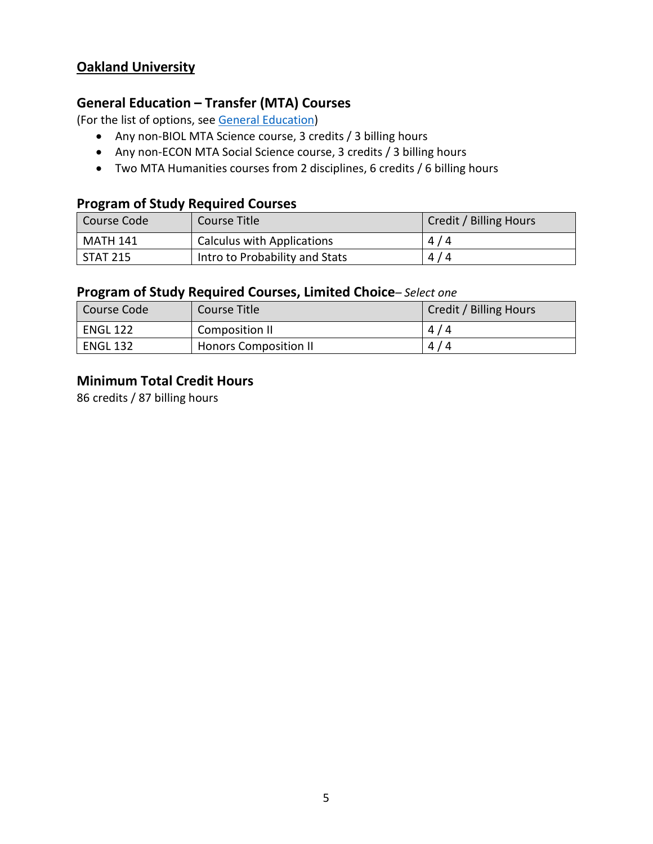## **Oakland University**

#### **General Education – Transfer (MTA) Courses**

(For the list of options, see [General Education\)](https://www.lcc.edu/general-education/)

- Any non-BIOL MTA Science course, 3 credits / 3 billing hours
- Any non-ECON MTA Social Science course, 3 credits / 3 billing hours
- Two MTA Humanities courses from 2 disciplines, 6 credits / 6 billing hours

#### **Program of Study Required Courses**

| Course Code | Course Title                      | Credit / Billing Hours |
|-------------|-----------------------------------|------------------------|
| MATH 141    | <b>Calculus with Applications</b> | 4/4                    |
| STAT 215    | Intro to Probability and Stats    | 4/4                    |

#### **Program of Study Required Courses, Limited Choice***– Select one*

| Course Code     | Course Title                 | Credit / Billing Hours |
|-----------------|------------------------------|------------------------|
| <b>ENGL 122</b> | Composition II               | 4/4                    |
| <b>ENGL 132</b> | <b>Honors Composition II</b> | 4/4                    |

#### **Minimum Total Credit Hours**

86 credits / 87 billing hours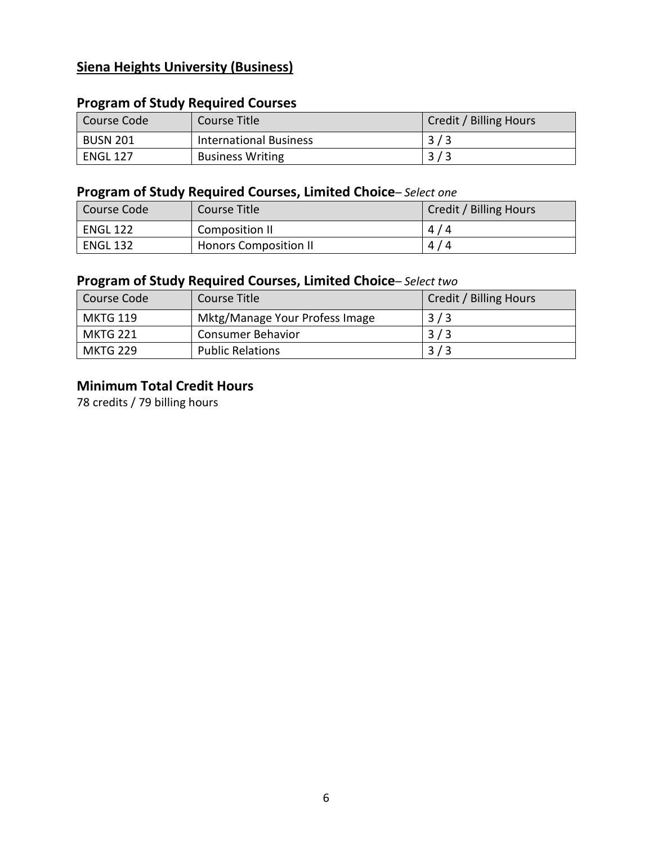## **Siena Heights University (Business)**

## **Program of Study Required Courses**

| Course Code     | Course Title                  | Credit / Billing Hours |
|-----------------|-------------------------------|------------------------|
| <b>BUSN 201</b> | <b>International Business</b> | 3/3                    |
| <b>ENGL 127</b> | <b>Business Writing</b>       | 3/3                    |

## **Program of Study Required Courses, Limited Choice***– Select one*

| Course Code     | Course Title                 | Credit / Billing Hours |
|-----------------|------------------------------|------------------------|
| <b>ENGL 122</b> | Composition II               | 4/4                    |
| <b>ENGL 132</b> | <b>Honors Composition II</b> | 4/4                    |

### **Program of Study Required Courses, Limited Choice***– Select two*

| Course Code     | Course Title                   | Credit / Billing Hours |
|-----------------|--------------------------------|------------------------|
| <b>MKTG 119</b> | Mktg/Manage Your Profess Image | 3/3                    |
| MKTG 221        | <b>Consumer Behavior</b>       | 3/3                    |
| MKTG 229        | <b>Public Relations</b>        |                        |

## **Minimum Total Credit Hours**

78 credits / 79 billing hours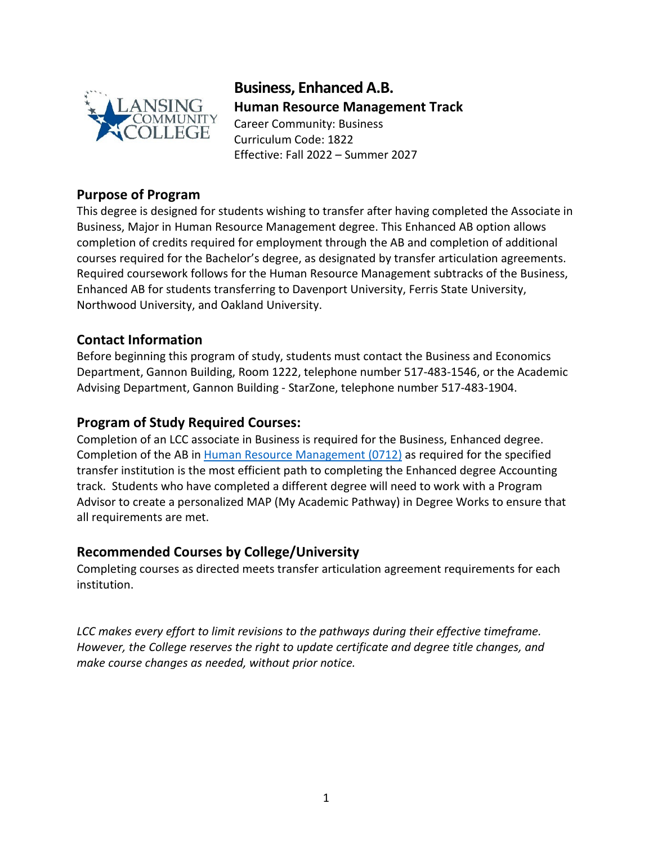

**Business, Enhanced A.B. Human Resource Management Track** Career Community: Business Curriculum Code: 1822 Effective: Fall 2022 – Summer 2027

#### **Purpose of Program**

This degree is designed for students wishing to transfer after having completed the Associate in Business, Major in Human Resource Management degree. This Enhanced AB option allows completion of credits required for employment through the AB and completion of additional courses required for the Bachelor's degree, as designated by transfer articulation agreements. Required coursework follows for the Human Resource Management subtracks of the Business, Enhanced AB for students transferring to Davenport University, Ferris State University, Northwood University, and Oakland University.

#### **Contact Information**

Before beginning this program of study, students must contact the Business and Economics Department, Gannon Building, Room 1222, telephone number 517-483-1546, or the Academic Advising Department, Gannon Building - StarZone, telephone number 517-483-1904.

#### **Program of Study Required Courses:**

Completion of an LCC associate in Business is required for the Business, Enhanced degree. Completion of the AB in [Human Resource Management](https://www.lcc.edu/academics/catalog/degree-certificate-programs/pathways/current/applied/0712.pdf) (0712) as required for the specified transfer institution is the most efficient path to completing the Enhanced degree Accounting track. Students who have completed a different degree will need to work with a Program Advisor to create a personalized MAP (My Academic Pathway) in Degree Works to ensure that all requirements are met.

#### **Recommended Courses by College/University**

Completing courses as directed meets transfer articulation agreement requirements for each institution.

*LCC makes every effort to limit revisions to the pathways during their effective timeframe. However, the College reserves the right to update certificate and degree title changes, and make course changes as needed, without prior notice.*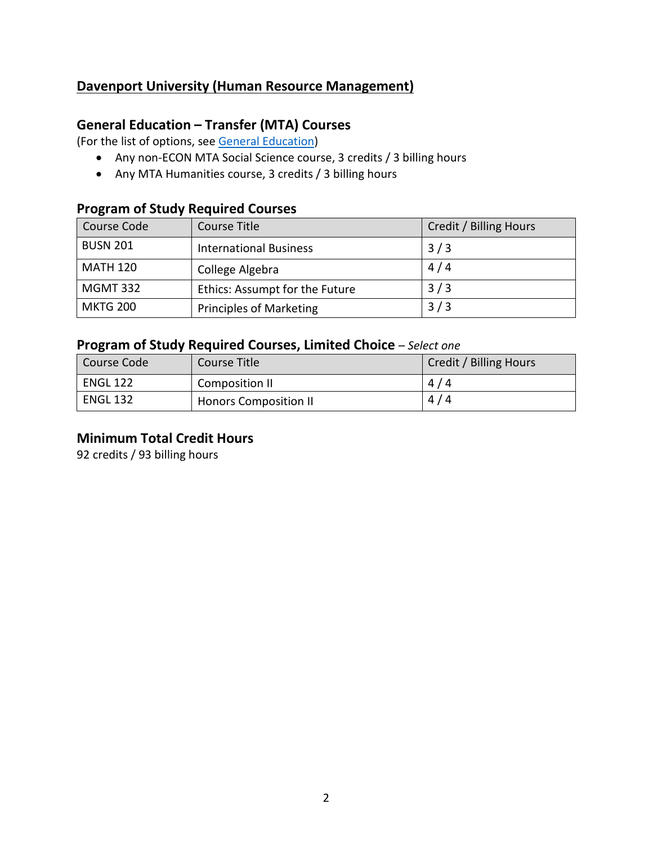## **Davenport University (Human Resource Management)**

### **General Education – Transfer (MTA) Courses**

(For the list of options, see [General Education\)](https://www.lcc.edu/general-education/)

- Any non-ECON MTA Social Science course, 3 credits / 3 billing hours
- Any MTA Humanities course, 3 credits / 3 billing hours

# **Program of Study Required Courses**

| Course Code     | Course Title                   | Credit / Billing Hours |
|-----------------|--------------------------------|------------------------|
| <b>BUSN 201</b> | <b>International Business</b>  | 3/3                    |
| <b>MATH 120</b> | College Algebra                | 4/4                    |
| <b>MGMT 332</b> | Ethics: Assumpt for the Future | 3/3                    |
| <b>MKTG 200</b> | <b>Principles of Marketing</b> | 3/3                    |

### **Program of Study Required Courses, Limited Choice** *– Select one*

| l Course Code   | Course Title                 | Credit / Billing Hours |
|-----------------|------------------------------|------------------------|
| <b>ENGL 122</b> | Composition II               | 4/4                    |
| <b>ENGL 132</b> | <b>Honors Composition II</b> | 4/4                    |

#### **Minimum Total Credit Hours**

92 credits / 93 billing hours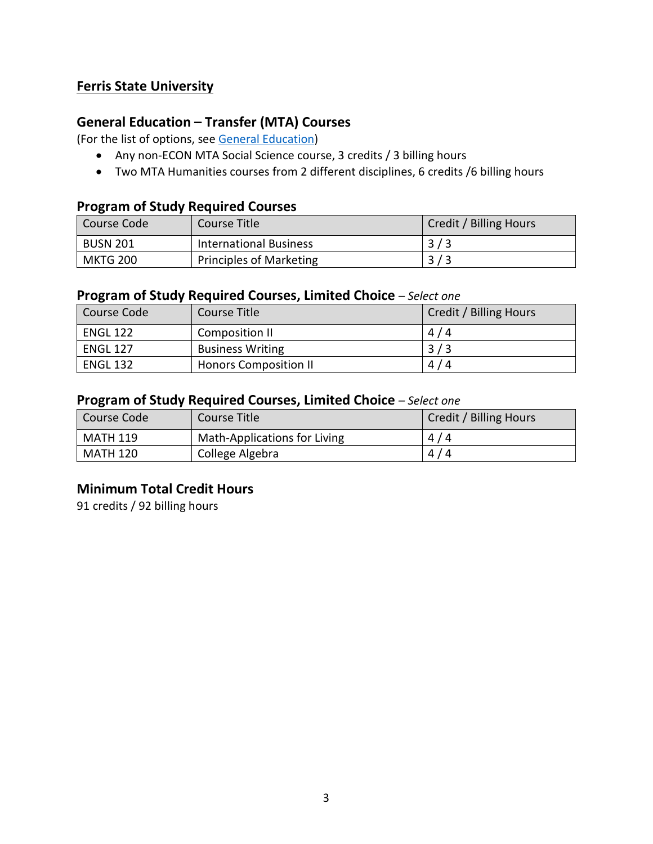## **Ferris State University**

## **General Education – Transfer (MTA) Courses**

(For the list of options, see [General Education\)](https://www.lcc.edu/general-education/)

- Any non-ECON MTA Social Science course, 3 credits / 3 billing hours
- Two MTA Humanities courses from 2 different disciplines, 6 credits /6 billing hours

#### **Program of Study Required Courses**

| Course Code     | Course Title                   | Credit / Billing Hours |
|-----------------|--------------------------------|------------------------|
| <b>BUSN 201</b> | <b>International Business</b>  | 3/3                    |
| <b>MKTG 200</b> | <b>Principles of Marketing</b> | 3/3                    |

#### **Program of Study Required Courses, Limited Choice** *– Select one*

| Course Code     | Course Title                 | Credit / Billing Hours |
|-----------------|------------------------------|------------------------|
| <b>ENGL 122</b> | Composition II               | 4/4                    |
| <b>ENGL 127</b> | <b>Business Writing</b>      | 3/3                    |
| <b>ENGL 132</b> | <b>Honors Composition II</b> | 4/4                    |

#### **Program of Study Required Courses, Limited Choice** *– Select one*

| Course Code     | Course Title                 | Credit / Billing Hours |
|-----------------|------------------------------|------------------------|
| <b>MATH 119</b> | Math-Applications for Living | 4/4                    |
| <b>MATH 120</b> | College Algebra              | 4/4                    |

#### **Minimum Total Credit Hours**

91 credits / 92 billing hours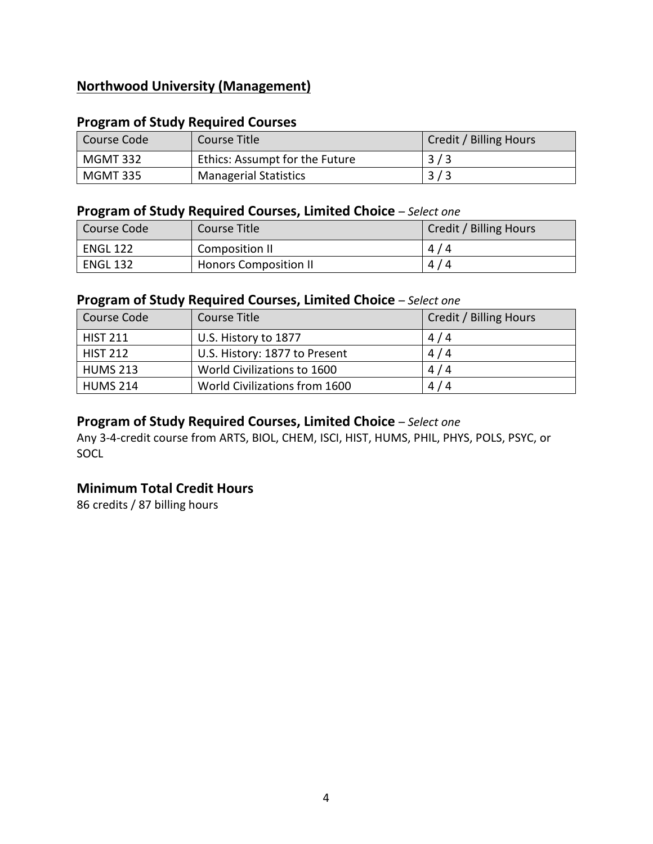## **Northwood University (Management)**

#### **Program of Study Required Courses**

| Course Code | Course Title                   | Credit / Billing Hours |
|-------------|--------------------------------|------------------------|
| MGMT 332    | Ethics: Assumpt for the Future | 3/3                    |
| MGMT 335    | <b>Managerial Statistics</b>   | 3/3                    |

#### **Program of Study Required Courses, Limited Choice** *– Select one*

| Course Code     | Course Title                 | Credit / Billing Hours |
|-----------------|------------------------------|------------------------|
| <b>ENGL 122</b> | Composition II               | 4/4                    |
| <b>ENGL 132</b> | <b>Honors Composition II</b> | 4/4                    |

#### **Program of Study Required Courses, Limited Choice** *– Select one*

| Course Code     | Course Title                  | Credit / Billing Hours |
|-----------------|-------------------------------|------------------------|
| <b>HIST 211</b> | U.S. History to 1877          | 4/4                    |
| <b>HIST 212</b> | U.S. History: 1877 to Present | 4/4                    |
| <b>HUMS 213</b> | World Civilizations to 1600   | 4/4                    |
| <b>HUMS 214</b> | World Civilizations from 1600 | 4/4                    |

## **Program of Study Required Courses, Limited Choice** *– Select one*

Any 3-4-credit course from ARTS, BIOL, CHEM, ISCI, HIST, HUMS, PHIL, PHYS, POLS, PSYC, or SOCL

## **Minimum Total Credit Hours**

86 credits / 87 billing hours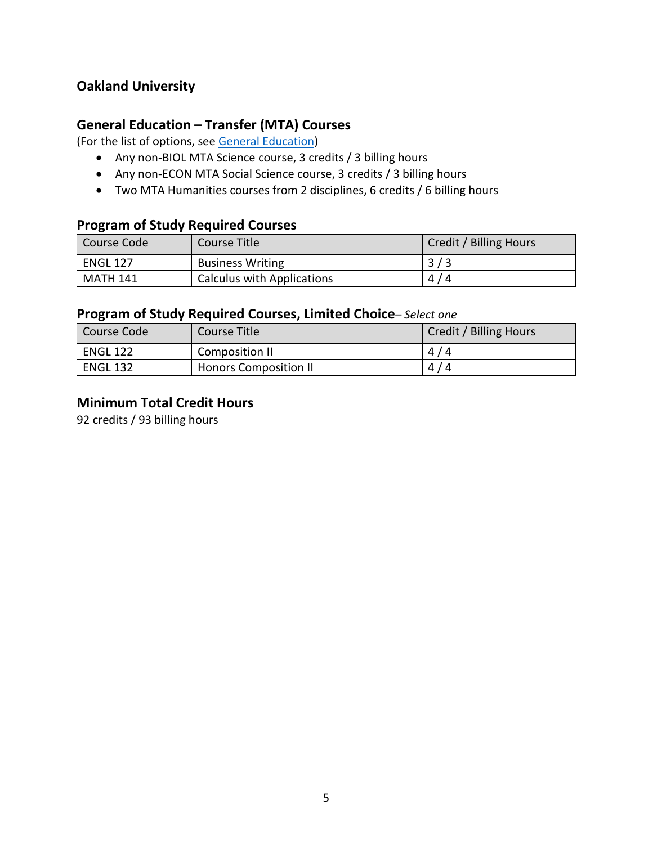## **Oakland University**

## **General Education – Transfer (MTA) Courses**

(For the list of options, see [General Education\)](https://www.lcc.edu/general-education/)

- Any non-BIOL MTA Science course, 3 credits / 3 billing hours
- Any non-ECON MTA Social Science course, 3 credits / 3 billing hours
- Two MTA Humanities courses from 2 disciplines, 6 credits / 6 billing hours

#### **Program of Study Required Courses**

| Course Code     | Course Title               | Credit / Billing Hours |
|-----------------|----------------------------|------------------------|
| <b>ENGL 127</b> | <b>Business Writing</b>    | 3/3                    |
| MATH 141        | Calculus with Applications | 4/4                    |

#### **Program of Study Required Courses, Limited Choice***– Select one*

| Course Code     | Course Title                 | Credit / Billing Hours |
|-----------------|------------------------------|------------------------|
| <b>ENGL 122</b> | Composition II               | 4/4                    |
| <b>ENGL 132</b> | <b>Honors Composition II</b> | 4/4                    |

#### **Minimum Total Credit Hours**

92 credits / 93 billing hours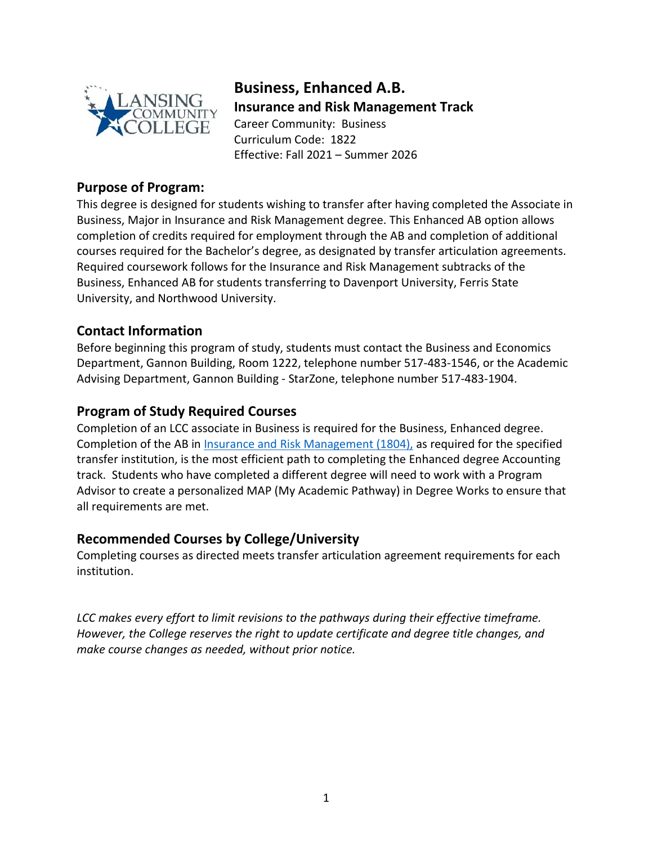

# **Business, Enhanced A.B.**

**Insurance and Risk Management Track** Career Community: Business Curriculum Code: 1822 Effective: Fall 2021 – Summer 2026

#### **Purpose of Program:**

This degree is designed for students wishing to transfer after having completed the Associate in Business, Major in Insurance and Risk Management degree. This Enhanced AB option allows completion of credits required for employment through the AB and completion of additional courses required for the Bachelor's degree, as designated by transfer articulation agreements. Required coursework follows for the Insurance and Risk Management subtracks of the Business, Enhanced AB for students transferring to Davenport University, Ferris State University, and Northwood University.

## **Contact Information**

Before beginning this program of study, students must contact the Business and Economics Department, Gannon Building, Room 1222, telephone number 517-483-1546, or the Academic Advising Department, Gannon Building - StarZone, telephone number 517-483-1904.

## **Program of Study Required Courses**

Completion of an LCC associate in Business is required for the Business, Enhanced degree. Completion of the AB in [Insurance and Risk Management](https://www.lcc.edu/academics/catalog/degree-certificate-programs/pathways/current/applied/1804.pdf) (1804), as required for the specified transfer institution, is the most efficient path to completing the Enhanced degree Accounting track. Students who have completed a different degree will need to work with a Program Advisor to create a personalized MAP (My Academic Pathway) in Degree Works to ensure that all requirements are met.

## **Recommended Courses by College/University**

Completing courses as directed meets transfer articulation agreement requirements for each institution.

*LCC makes every effort to limit revisions to the pathways during their effective timeframe. However, the College reserves the right to update certificate and degree title changes, and make course changes as needed, without prior notice.*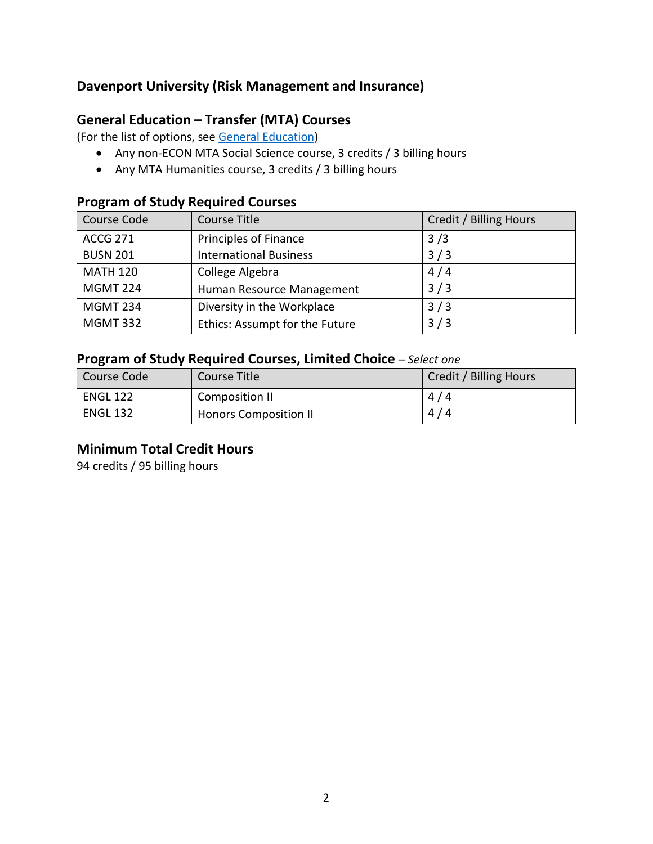## **Davenport University (Risk Management and Insurance)**

## **General Education – Transfer (MTA) Courses**

(For the list of options, see [General Education\)](https://www.lcc.edu/general-education/)

- Any non-ECON MTA Social Science course, 3 credits / 3 billing hours
- Any MTA Humanities course, 3 credits / 3 billing hours

## **Program of Study Required Courses**

| Course Code     | <b>Course Title</b>            | Credit / Billing Hours |
|-----------------|--------------------------------|------------------------|
| <b>ACCG 271</b> | <b>Principles of Finance</b>   | 3/3                    |
| <b>BUSN 201</b> | <b>International Business</b>  | 3/3                    |
| <b>MATH 120</b> | College Algebra                | 4/4                    |
| <b>MGMT 224</b> | Human Resource Management      | 3/3                    |
| <b>MGMT 234</b> | Diversity in the Workplace     | 3/3                    |
| <b>MGMT 332</b> | Ethics: Assumpt for the Future | 3/3                    |

### **Program of Study Required Courses, Limited Choice** *– Select one*

| Course Code     | Course Title                 | Credit / Billing Hours |
|-----------------|------------------------------|------------------------|
| <b>ENGL 122</b> | Composition II               | 4/4                    |
| ENGL 132        | <b>Honors Composition II</b> | 4/4                    |

#### **Minimum Total Credit Hours**

94 credits / 95 billing hours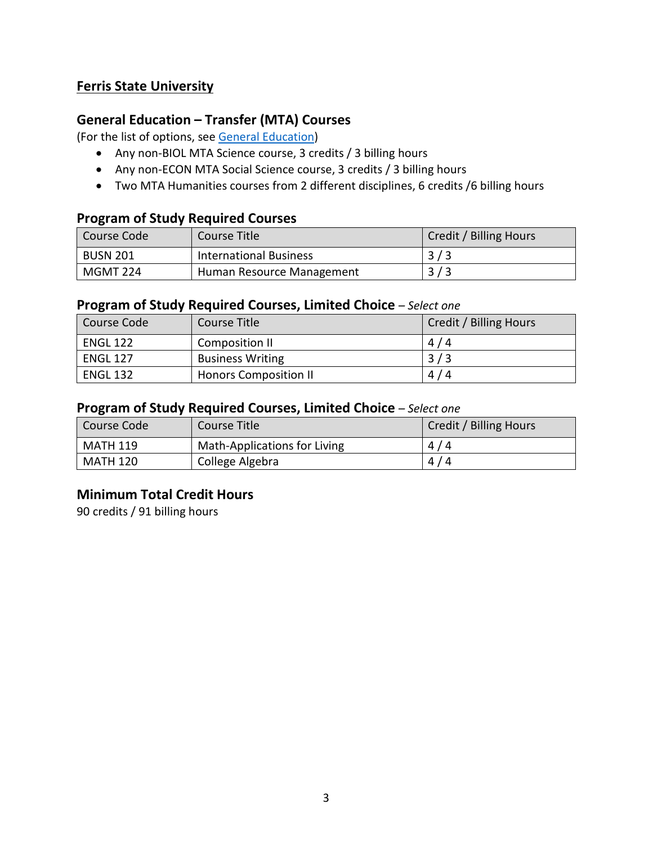## **Ferris State University**

## **General Education – Transfer (MTA) Courses**

(For the list of options, see [General Education\)](https://www.lcc.edu/general-education/)

- Any non-BIOL MTA Science course, 3 credits / 3 billing hours
- Any non-ECON MTA Social Science course, 3 credits / 3 billing hours
- Two MTA Humanities courses from 2 different disciplines, 6 credits /6 billing hours

#### **Program of Study Required Courses**

| l Course Code   | Course Title                  | Credit / Billing Hours |
|-----------------|-------------------------------|------------------------|
| <b>BUSN 201</b> | <b>International Business</b> | 3/3                    |
| <b>MGMT 224</b> | Human Resource Management     | 3/3                    |

#### **Program of Study Required Courses, Limited Choice** *– Select one*

| Course Code     | Course Title                 | Credit / Billing Hours |
|-----------------|------------------------------|------------------------|
| <b>ENGL 122</b> | Composition II               | 4/4                    |
| <b>ENGL 127</b> | <b>Business Writing</b>      | 3/3                    |
| <b>ENGL 132</b> | <b>Honors Composition II</b> | 4/4                    |

#### **Program of Study Required Courses, Limited Choice** *– Select one*

| l Course Code   | Course Title                 | Credit / Billing Hours |
|-----------------|------------------------------|------------------------|
| <b>MATH 119</b> | Math-Applications for Living | 4/4                    |
| MATH 120        | College Algebra              | 4/4                    |

#### **Minimum Total Credit Hours**

90 credits / 91 billing hours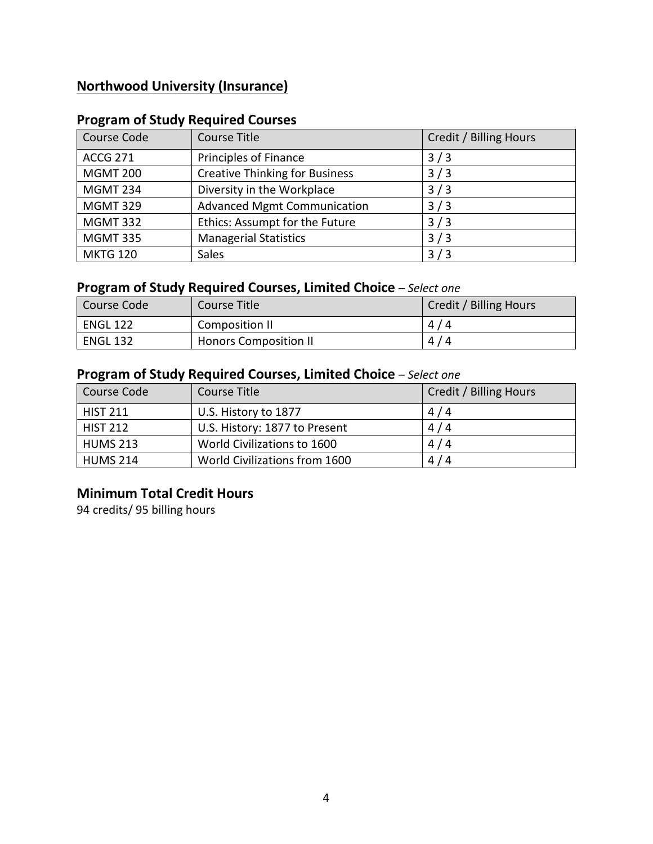## **Northwood University (Insurance)**

| Course Code     | <b>Course Title</b>                   | Credit / Billing Hours |
|-----------------|---------------------------------------|------------------------|
| <b>ACCG 271</b> | Principles of Finance                 | 3/3                    |
| <b>MGMT 200</b> | <b>Creative Thinking for Business</b> | 3/3                    |
| <b>MGMT 234</b> | Diversity in the Workplace            | 3/3                    |
| <b>MGMT 329</b> | <b>Advanced Mgmt Communication</b>    | 3/3                    |
| <b>MGMT 332</b> | Ethics: Assumpt for the Future        | 3/3                    |
| <b>MGMT 335</b> | <b>Managerial Statistics</b>          | 3/3                    |
| <b>MKTG 120</b> | <b>Sales</b>                          | 3/3                    |

## **Program of Study Required Courses**

## **Program of Study Required Courses, Limited Choice** *– Select one*

| Course Code     | Course Title                 | Credit / Billing Hours |
|-----------------|------------------------------|------------------------|
| ENGL 122        | Composition II               | 4/4                    |
| <b>ENGL 132</b> | <b>Honors Composition II</b> | 4/4                    |

## **Program of Study Required Courses, Limited Choice** *– Select one*

| Course Code     | Course Title                  | Credit / Billing Hours |
|-----------------|-------------------------------|------------------------|
| <b>HIST 211</b> | U.S. History to 1877          | 4/4                    |
| <b>HIST 212</b> | U.S. History: 1877 to Present | 4/4                    |
| <b>HUMS 213</b> | World Civilizations to 1600   | 4/4                    |
| <b>HUMS 214</b> | World Civilizations from 1600 | 4/4                    |

#### **Minimum Total Credit Hours**

94 credits/ 95 billing hours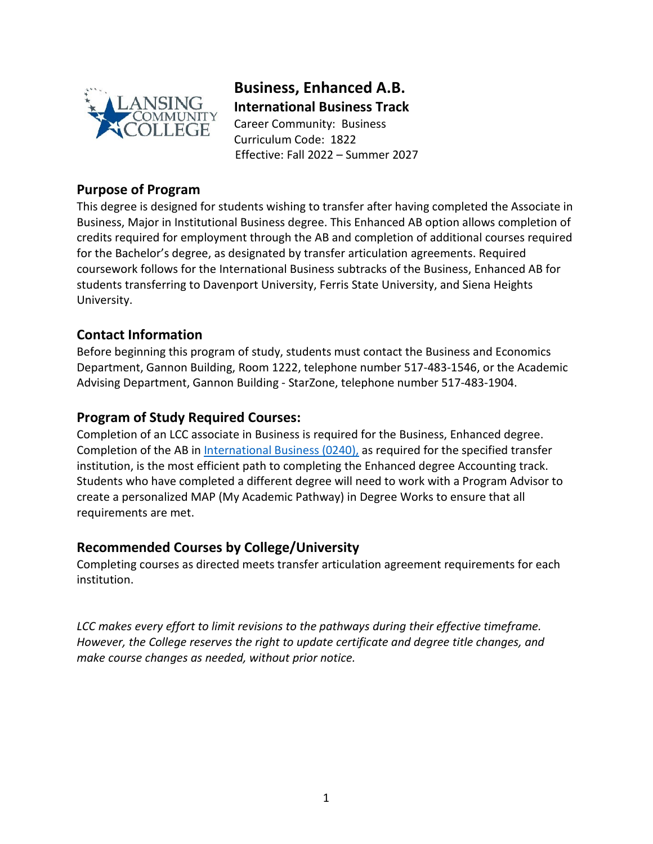

**Business, Enhanced A.B. International Business Track** Career Community: Business Curriculum Code: 1822 Effective: Fall 2022 – Summer 2027

#### **Purpose of Program**

This degree is designed for students wishing to transfer after having completed the Associate in Business, Major in Institutional Business degree. This Enhanced AB option allows completion of credits required for employment through the AB and completion of additional courses required for the Bachelor's degree, as designated by transfer articulation agreements. Required coursework follows for the International Business subtracks of the Business, Enhanced AB for students transferring to Davenport University, Ferris State University, and Siena Heights University.

## **Contact Information**

Before beginning this program of study, students must contact the Business and Economics Department, Gannon Building, Room 1222, telephone number 517-483-1546, or the Academic Advising Department, Gannon Building - StarZone, telephone number 517-483-1904.

#### **Program of Study Required Courses:**

Completion of an LCC associate in Business is required for the Business, Enhanced degree. Completion of the AB in [International Business](https://www.lcc.edu/academics/catalog/degree-certificate-programs/pathways/current/applied/0240.pdf) (0240), as required for the specified transfer institution, is the most efficient path to completing the Enhanced degree Accounting track. Students who have completed a different degree will need to work with a Program Advisor to create a personalized MAP (My Academic Pathway) in Degree Works to ensure that all requirements are met.

## **Recommended Courses by College/University**

Completing courses as directed meets transfer articulation agreement requirements for each institution.

*LCC makes every effort to limit revisions to the pathways during their effective timeframe. However, the College reserves the right to update certificate and degree title changes, and make course changes as needed, without prior notice.*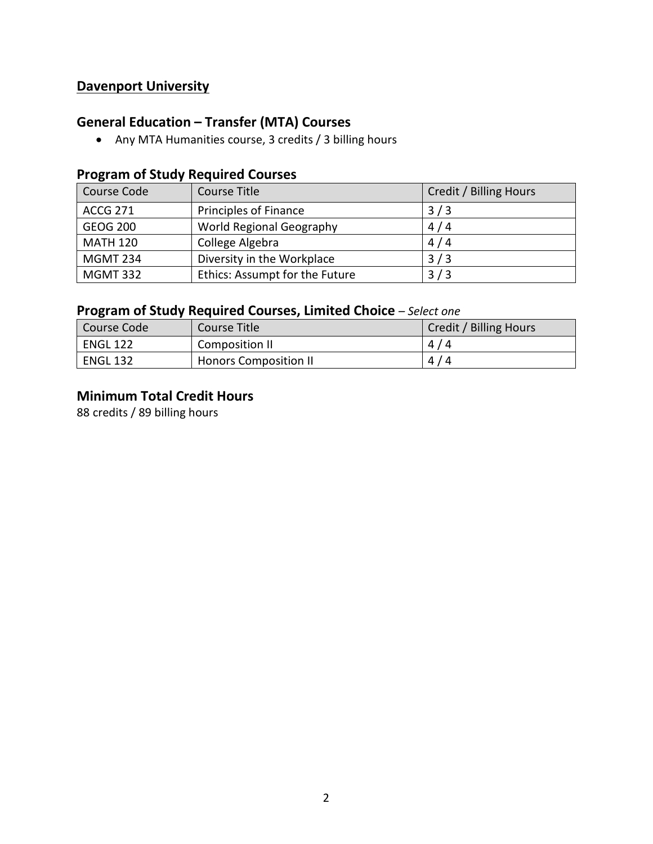## **Davenport University**

# **General Education – Transfer (MTA) Courses**

• Any MTA Humanities course, 3 credits / 3 billing hours

## **Program of Study Required Courses**

| Course Code     | Course Title                   | Credit / Billing Hours |
|-----------------|--------------------------------|------------------------|
| <b>ACCG 271</b> | <b>Principles of Finance</b>   | 3/3                    |
| <b>GEOG 200</b> | World Regional Geography       | 4/4                    |
| <b>MATH 120</b> | College Algebra                | 4/4                    |
| <b>MGMT 234</b> | Diversity in the Workplace     | 3/3                    |
| <b>MGMT 332</b> | Ethics: Assumpt for the Future | 3/3                    |

## **Program of Study Required Courses, Limited Choice** *– Select one*

| Course Code     | Course Title                 | Credit / Billing Hours |
|-----------------|------------------------------|------------------------|
| ENGL 122        | Composition II               | 4/4                    |
| <b>ENGL 132</b> | <b>Honors Composition II</b> | 4/4                    |

## **Minimum Total Credit Hours**

88 credits / 89 billing hours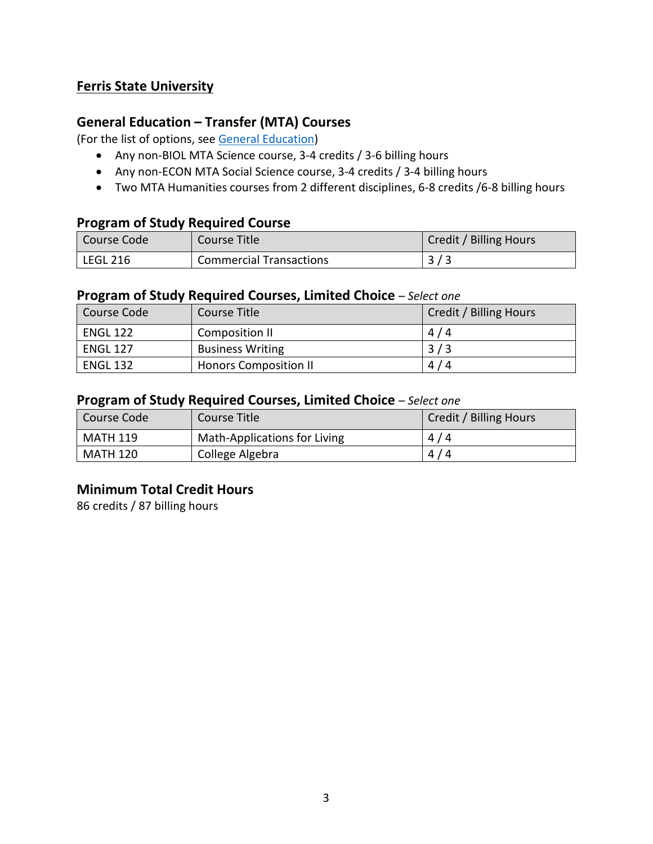## **Ferris State University**

## **General Education – Transfer (MTA) Courses**

(For the list of options, see [General Education\)](https://www.lcc.edu/general-education/)

- Any non-BIOL MTA Science course, 3-4 credits / 3-6 billing hours
- Any non-ECON MTA Social Science course, 3-4 credits / 3-4 billing hours
- Two MTA Humanities courses from 2 different disciplines, 6-8 credits /6-8 billing hours

#### **Program of Study Required Course**

| l Course Code         | Course Title                   | Credit / Billing Hours |
|-----------------------|--------------------------------|------------------------|
| <sup>I</sup> LEGL 216 | <b>Commercial Transactions</b> | 3/3                    |

#### **Program of Study Required Courses, Limited Choice** *– Select one*

| Course Code     | Course Title                 | Credit / Billing Hours |
|-----------------|------------------------------|------------------------|
| <b>ENGL 122</b> | Composition II               | 4/4                    |
| <b>ENGL 127</b> | <b>Business Writing</b>      | 3/3                    |
| <b>ENGL 132</b> | <b>Honors Composition II</b> | 4/4                    |

#### **Program of Study Required Courses, Limited Choice** *– Select one*

| Course Code     | Course Title                 | Credit / Billing Hours |
|-----------------|------------------------------|------------------------|
| <b>MATH 119</b> | Math-Applications for Living | 4/4                    |
| <b>MATH 120</b> | College Algebra              | 4/4                    |

#### **Minimum Total Credit Hours**

86 credits / 87 billing hours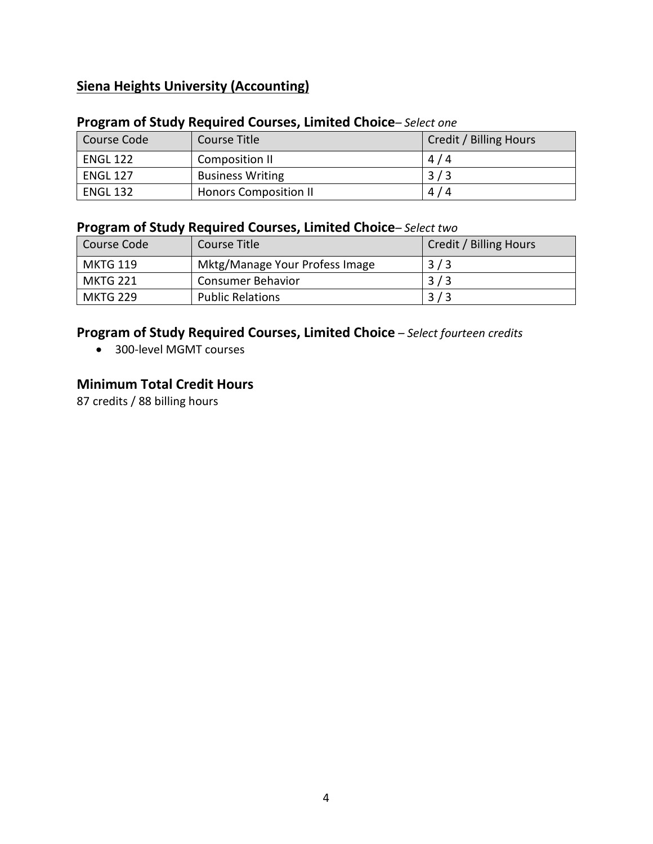## **Siena Heights University (Accounting)**

#### **Program of Study Required Courses, Limited Choice***– Select one*

| Course Code     | Course Title                 | Credit / Billing Hours |
|-----------------|------------------------------|------------------------|
| <b>ENGL 122</b> | Composition II               | 4/4                    |
| <b>ENGL 127</b> | <b>Business Writing</b>      | 3/3                    |
| <b>ENGL 132</b> | <b>Honors Composition II</b> | 4/4                    |

## **Program of Study Required Courses, Limited Choice***– Select two*

| Course Code     | Course Title                   | Credit / Billing Hours |
|-----------------|--------------------------------|------------------------|
| <b>MKTG 119</b> | Mktg/Manage Your Profess Image | 3/3                    |
| <b>MKTG 221</b> | <b>Consumer Behavior</b>       | 3/3                    |
| <b>MKTG 229</b> | <b>Public Relations</b>        | 3/3                    |

### **Program of Study Required Courses, Limited Choice** *– Select fourteen credits*

• 300-level MGMT courses

## **Minimum Total Credit Hours**

87 credits / 88 billing hours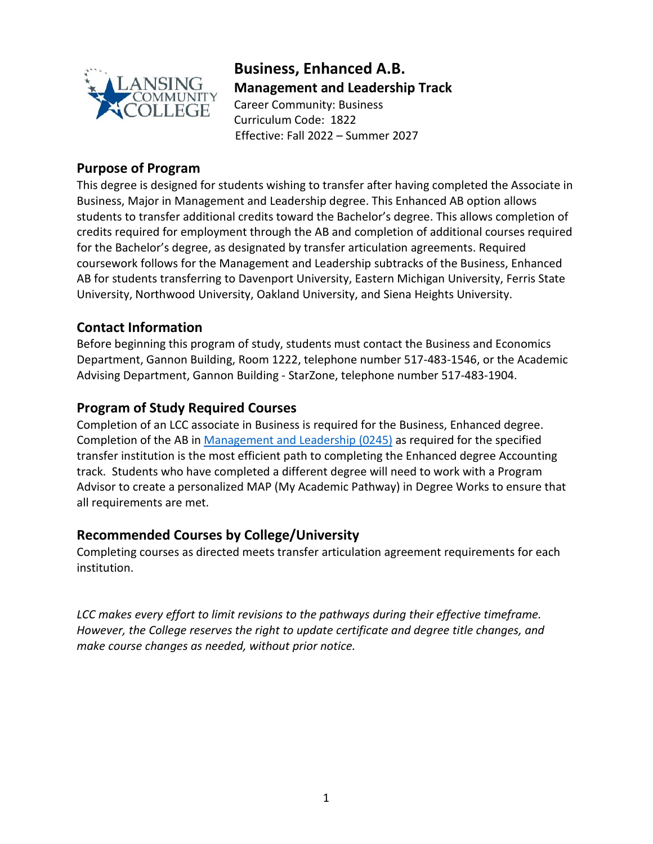

## **Business, Enhanced A.B. Management and Leadership Track** Career Community: Business

Curriculum Code: 1822 Effective: Fall 2022 – Summer 2027

## **Purpose of Program**

This degree is designed for students wishing to transfer after having completed the Associate in Business, Major in Management and Leadership degree. This Enhanced AB option allows students to transfer additional credits toward the Bachelor's degree. This allows completion of credits required for employment through the AB and completion of additional courses required for the Bachelor's degree, as designated by transfer articulation agreements. Required coursework follows for the Management and Leadership subtracks of the Business, Enhanced AB for students transferring to Davenport University, Eastern Michigan University, Ferris State University, Northwood University, Oakland University, and Siena Heights University.

## **Contact Information**

Before beginning this program of study, students must contact the Business and Economics Department, Gannon Building, Room 1222, telephone number 517-483-1546, or the Academic Advising Department, Gannon Building - StarZone, telephone number 517-483-1904.

## **Program of Study Required Courses**

Completion of an LCC associate in Business is required for the Business, Enhanced degree. Completion of the AB in [Management and Leadership](https://www.lcc.edu/academics/catalog/degree-certificate-programs/pathways/current/applied/0245.pdf) (0245) as required for the specified transfer institution is the most efficient path to completing the Enhanced degree Accounting track. Students who have completed a different degree will need to work with a Program Advisor to create a personalized MAP (My Academic Pathway) in Degree Works to ensure that all requirements are met.

#### **Recommended Courses by College/University**

Completing courses as directed meets transfer articulation agreement requirements for each institution.

*LCC makes every effort to limit revisions to the pathways during their effective timeframe. However, the College reserves the right to update certificate and degree title changes, and make course changes as needed, without prior notice.*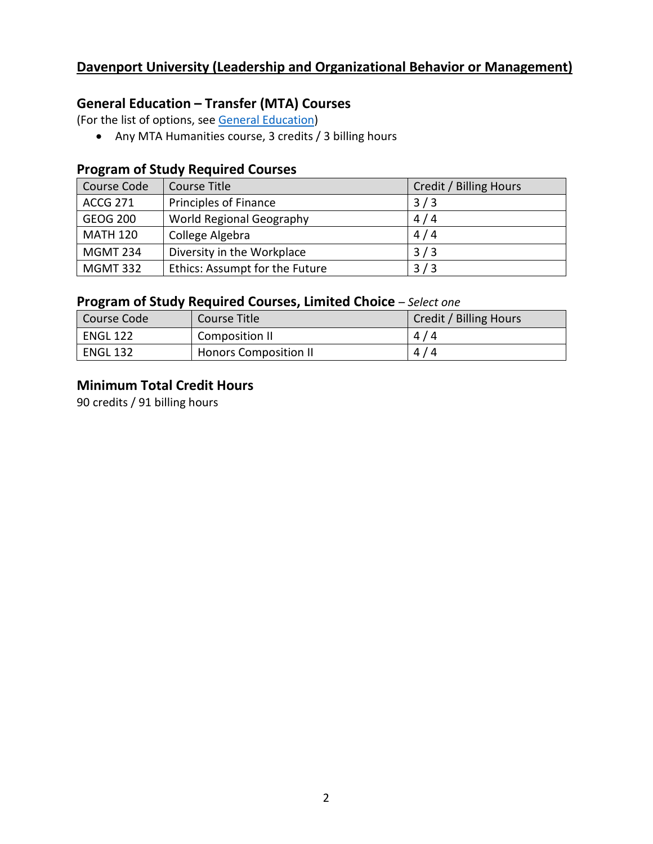## **Davenport University (Leadership and Organizational Behavior or Management)**

## **General Education – Transfer (MTA) Courses**

(For the list of options, see [General Education\)](https://www.lcc.edu/general-education/)

• Any MTA Humanities course, 3 credits / 3 billing hours

#### **Program of Study Required Courses**

| Course Code     | Course Title                   | Credit / Billing Hours |
|-----------------|--------------------------------|------------------------|
| <b>ACCG 271</b> | Principles of Finance          | 3/3                    |
| <b>GEOG 200</b> | World Regional Geography       | 4/4                    |
| <b>MATH 120</b> | College Algebra                | 4/4                    |
| <b>MGMT 234</b> | Diversity in the Workplace     | 3/3                    |
| <b>MGMT 332</b> | Ethics: Assumpt for the Future | 3/3                    |

## **Program of Study Required Courses, Limited Choice** *– Select one*

| l Course Code   | Course Title                 | Credit / Billing Hours |
|-----------------|------------------------------|------------------------|
| <b>ENGL 122</b> | Composition II               | 4/4                    |
| <b>ENGL 132</b> | <b>Honors Composition II</b> | 4/4                    |

#### **Minimum Total Credit Hours**

90 credits / 91 billing hours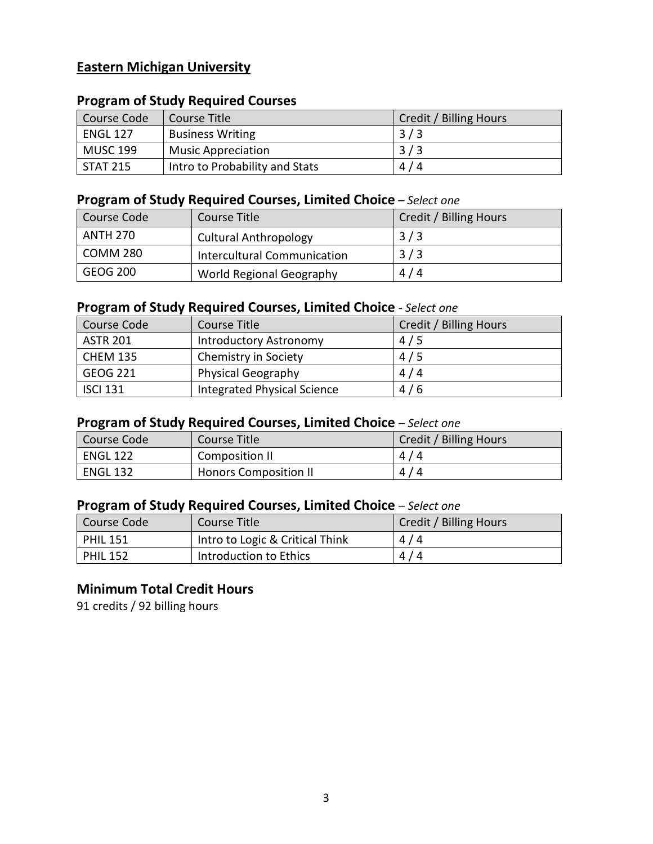## **Eastern Michigan University**

#### **Program of Study Required Courses**

| Course Code     | Course Title                   | Credit / Billing Hours |
|-----------------|--------------------------------|------------------------|
| <b>ENGL 127</b> | <b>Business Writing</b>        | 3/3                    |
| <b>MUSC 199</b> | <b>Music Appreciation</b>      | 3/3                    |
| STAT 215        | Intro to Probability and Stats | 4/4                    |

## **Program of Study Required Courses, Limited Choice** *– Select one*

| Course Code     | Course Title                       | Credit / Billing Hours |
|-----------------|------------------------------------|------------------------|
| <b>ANTH 270</b> | <b>Cultural Anthropology</b>       | 3/3                    |
| COMM 280        | <b>Intercultural Communication</b> | 3/3                    |
| GEOG 200        | World Regional Geography           | 4/4                    |

## **Program of Study Required Courses, Limited Choice** *- Select one*

| Course Code     | Course Title                  | Credit / Billing Hours |
|-----------------|-------------------------------|------------------------|
| <b>ASTR 201</b> | <b>Introductory Astronomy</b> | 4/5                    |
| <b>CHEM 135</b> | Chemistry in Society          | 4/5                    |
| <b>GEOG 221</b> | <b>Physical Geography</b>     | 4/4                    |
| <b>ISCI 131</b> | Integrated Physical Science   | 4/6                    |

### **Program of Study Required Courses, Limited Choice** *– Select one*

| l Course Code   | Course Title                 | Credit / Billing Hours |
|-----------------|------------------------------|------------------------|
| <b>ENGL 122</b> | Composition II               | 4/4                    |
| ENGL 132        | <b>Honors Composition II</b> | 4/4                    |

#### **Program of Study Required Courses, Limited Choice** *– Select one*

| Course Code     | Course Title                    | Credit / Billing Hours |
|-----------------|---------------------------------|------------------------|
| <b>PHIL 151</b> | Intro to Logic & Critical Think | 4/4                    |
| <b>PHIL 152</b> | Introduction to Ethics          | 4/4                    |

## **Minimum Total Credit Hours**

91 credits / 92 billing hours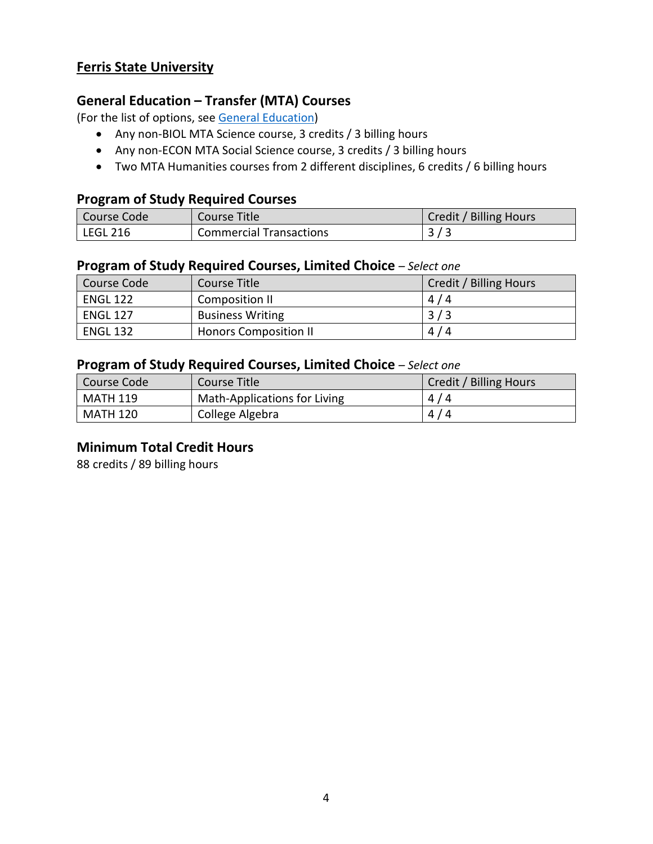### **Ferris State University**

## **General Education – Transfer (MTA) Courses**

(For the list of options, see [General Education\)](https://www.lcc.edu/general-education/)

- Any non-BIOL MTA Science course, 3 credits / 3 billing hours
- Any non-ECON MTA Social Science course, 3 credits / 3 billing hours
- Two MTA Humanities courses from 2 different disciplines, 6 credits / 6 billing hours

#### **Program of Study Required Courses**

| Course Code | Course Title                   | Credit / Billing Hours |
|-------------|--------------------------------|------------------------|
| LEGL 216    | <b>Commercial Transactions</b> |                        |

#### **Program of Study Required Courses, Limited Choice** *– Select one*

| Course Code     | Course Title                 | Credit / Billing Hours |
|-----------------|------------------------------|------------------------|
| <b>ENGL 122</b> | Composition II               | 4/4                    |
| <b>ENGL 127</b> | <b>Business Writing</b>      | 3/3                    |
| <b>ENGL 132</b> | <b>Honors Composition II</b> | 4/4                    |

#### **Program of Study Required Courses, Limited Choice** *– Select one*

| Course Code     | Course Title                 | Credit / Billing Hours |
|-----------------|------------------------------|------------------------|
| <b>MATH 119</b> | Math-Applications for Living | 4/4                    |
| <b>MATH 120</b> | College Algebra              | 4/4                    |

#### **Minimum Total Credit Hours**

88 credits / 89 billing hours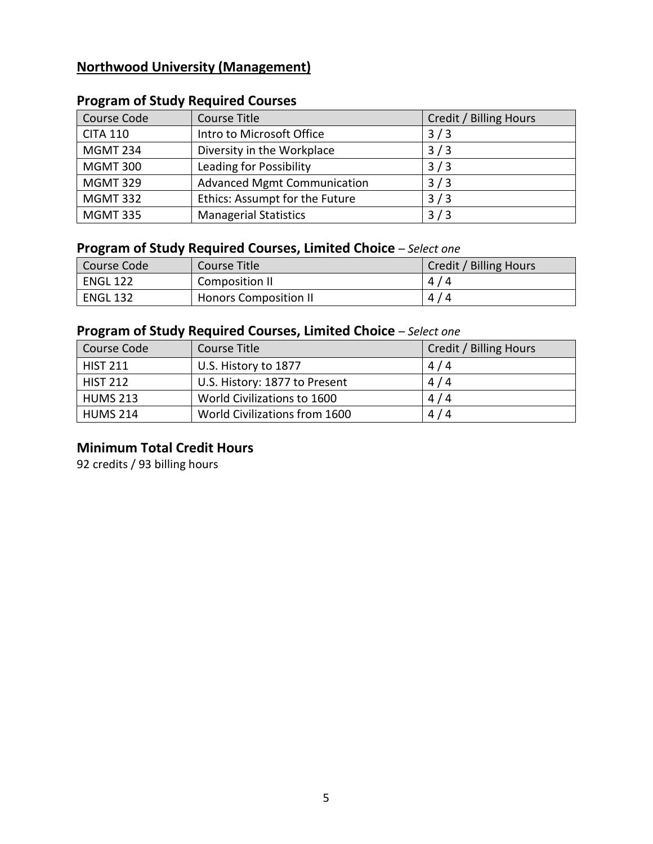## **Northwood University (Management)**

| Course Code     | Course Title                       | Credit / Billing Hours |
|-----------------|------------------------------------|------------------------|
| <b>CITA 110</b> | Intro to Microsoft Office          | 3/3                    |
| <b>MGMT 234</b> | Diversity in the Workplace         | 3/3                    |
| <b>MGMT 300</b> | Leading for Possibility            | 3/3                    |
| <b>MGMT 329</b> | <b>Advanced Mgmt Communication</b> | 3/3                    |
| <b>MGMT 332</b> | Ethics: Assumpt for the Future     | 3/3                    |
| <b>MGMT 335</b> | <b>Managerial Statistics</b>       | 3/3                    |

## **Program of Study Required Courses**

## **Program of Study Required Courses, Limited Choice** *– Select one*

| Course Code     | Course Title                 | Credit / Billing Hours |
|-----------------|------------------------------|------------------------|
| <b>ENGL 122</b> | Composition II               | 4/4                    |
| <b>ENGL 132</b> | <b>Honors Composition II</b> | 4/4                    |

## **Program of Study Required Courses, Limited Choice** *– Select one*

| Course Code     | Course Title                  | Credit / Billing Hours |
|-----------------|-------------------------------|------------------------|
| <b>HIST 211</b> | U.S. History to 1877          | 4/4                    |
| <b>HIST 212</b> | U.S. History: 1877 to Present | 4/4                    |
| <b>HUMS 213</b> | World Civilizations to 1600   | 4/4                    |
| <b>HUMS 214</b> | World Civilizations from 1600 | 4/4                    |

## **Minimum Total Credit Hours**

92 credits / 93 billing hours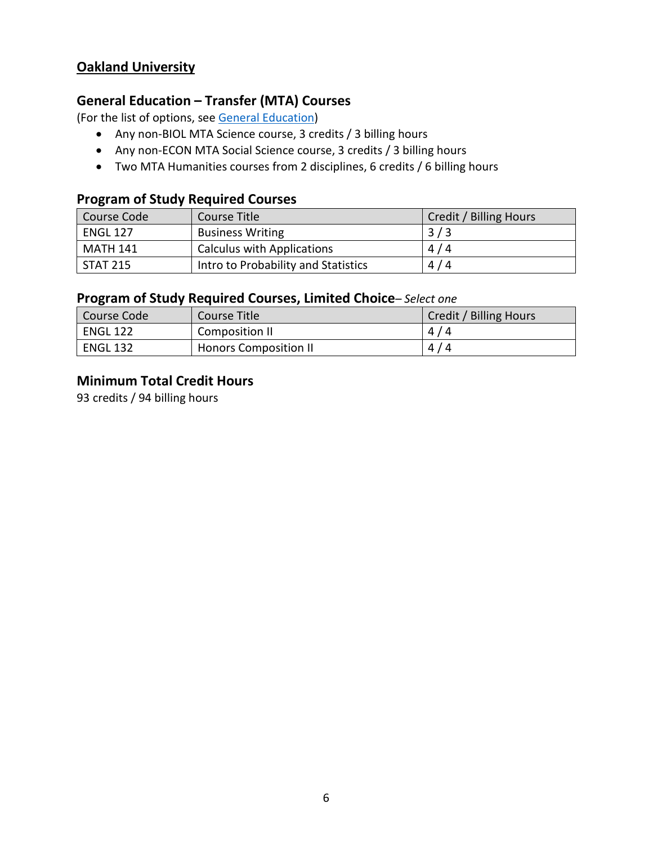## **Oakland University**

## **General Education – Transfer (MTA) Courses**

(For the list of options, see [General Education\)](https://www.lcc.edu/general-education/)

- Any non-BIOL MTA Science course, 3 credits / 3 billing hours
- Any non-ECON MTA Social Science course, 3 credits / 3 billing hours
- Two MTA Humanities courses from 2 disciplines, 6 credits / 6 billing hours

#### **Program of Study Required Courses**

| Course Code     | Course Title                        | Credit / Billing Hours |
|-----------------|-------------------------------------|------------------------|
| <b>ENGL 127</b> | <b>Business Writing</b>             | 3/3                    |
| <b>MATH 141</b> | <b>Calculus with Applications</b>   | 4/4                    |
| STAT 215        | Intro to Probability and Statistics | 4/4                    |

#### **Program of Study Required Courses, Limited Choice***– Select one*

| Course Code     | Course Title                 | Credit / Billing Hours |
|-----------------|------------------------------|------------------------|
| <b>ENGL 122</b> | Composition II               | 4/4                    |
| <b>ENGL 132</b> | <b>Honors Composition II</b> | 4/4                    |

#### **Minimum Total Credit Hours**

93 credits / 94 billing hours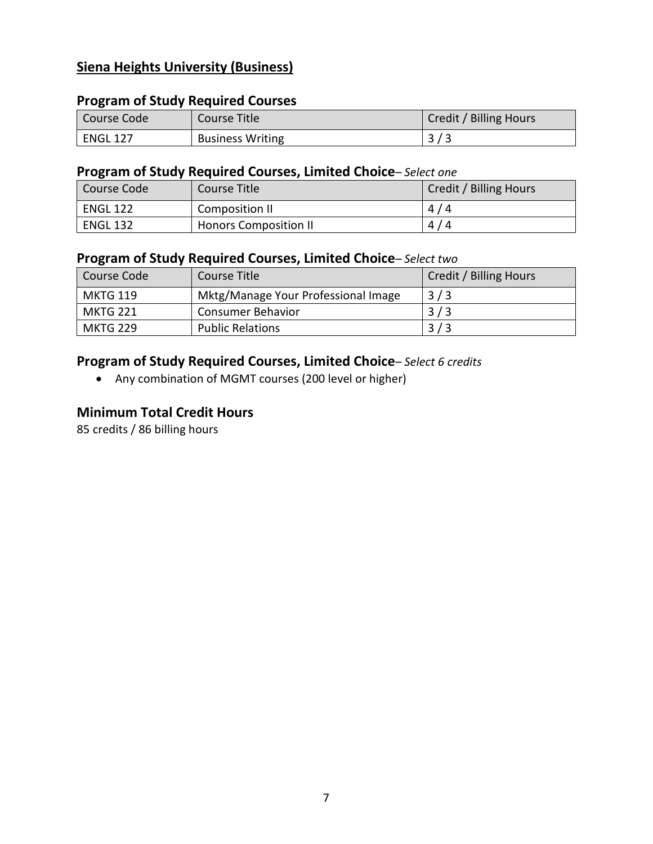## **Siena Heights University (Business)**

#### **Program of Study Required Courses**

| Course Code     | Course Title            | <b>Credit / Billing Hours</b> |
|-----------------|-------------------------|-------------------------------|
| <b>ENGL 127</b> | <b>Business Writing</b> |                               |

#### **Program of Study Required Courses, Limited Choice***– Select one*

| Course Code     | Course Title                 | Credit / Billing Hours |
|-----------------|------------------------------|------------------------|
| <b>ENGL 122</b> | Composition II               | 4/4                    |
| <b>ENGL 132</b> | <b>Honors Composition II</b> | 4/4                    |

#### **Program of Study Required Courses, Limited Choice***– Select two*

| Course Code     | Course Title                        | Credit / Billing Hours |
|-----------------|-------------------------------------|------------------------|
| <b>MKTG 119</b> | Mktg/Manage Your Professional Image | 3/3                    |
| MKTG 221        | Consumer Behavior                   | 3/3                    |
| <b>MKTG 229</b> | <b>Public Relations</b>             | 3/3                    |

## **Program of Study Required Courses, Limited Choice***– Select 6 credits*

• Any combination of MGMT courses (200 level or higher)

#### **Minimum Total Credit Hours**

85 credits / 86 billing hours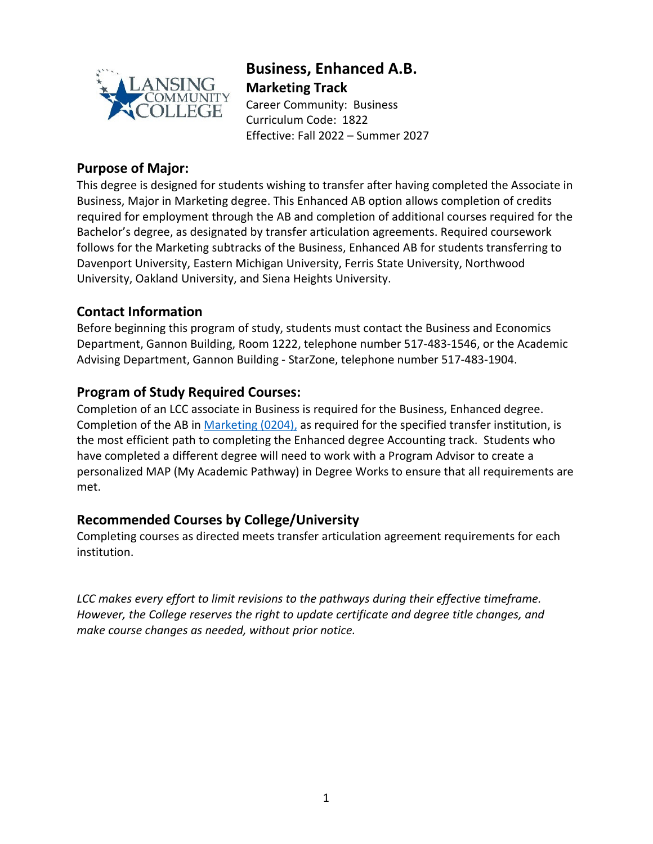

## **Business, Enhanced A.B. Marketing Track**

Career Community: Business Curriculum Code: 1822 Effective: Fall 2022 – Summer 2027

## **Purpose of Major:**

This degree is designed for students wishing to transfer after having completed the Associate in Business, Major in Marketing degree. This Enhanced AB option allows completion of credits required for employment through the AB and completion of additional courses required for the Bachelor's degree, as designated by transfer articulation agreements. Required coursework follows for the Marketing subtracks of the Business, Enhanced AB for students transferring to Davenport University, Eastern Michigan University, Ferris State University, Northwood University, Oakland University, and Siena Heights University.

## **Contact Information**

Before beginning this program of study, students must contact the Business and Economics Department, Gannon Building, Room 1222, telephone number 517-483-1546, or the Academic Advising Department, Gannon Building - StarZone, telephone number 517-483-1904.

## **Program of Study Required Courses:**

Completion of an LCC associate in Business is required for the Business, Enhanced degree. Completion of the AB in [Marketing](https://www.lcc.edu/academics/catalog/degree-certificate-programs/pathways/current/applied/0204.pdf) (0204), as required for the specified transfer institution, is the most efficient path to completing the Enhanced degree Accounting track. Students who have completed a different degree will need to work with a Program Advisor to create a personalized MAP (My Academic Pathway) in Degree Works to ensure that all requirements are met.

#### **Recommended Courses by College/University**

Completing courses as directed meets transfer articulation agreement requirements for each institution.

*LCC makes every effort to limit revisions to the pathways during their effective timeframe. However, the College reserves the right to update certificate and degree title changes, and make course changes as needed, without prior notice.*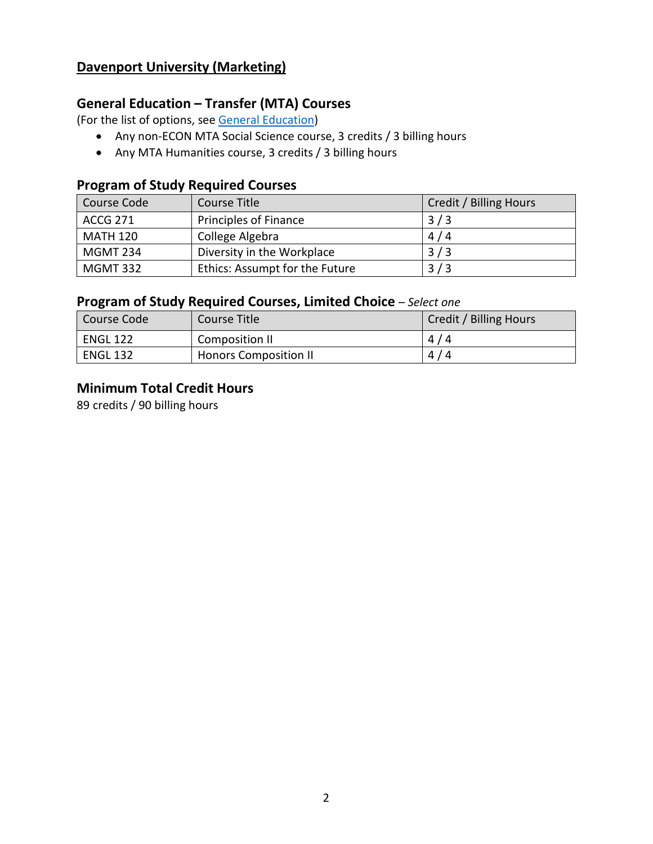## **Davenport University (Marketing)**

#### **General Education – Transfer (MTA) Courses**

(For the list of options, see [General Education\)](https://www.lcc.edu/general-education/)

- Any non-ECON MTA Social Science course, 3 credits / 3 billing hours
- Any MTA Humanities course, 3 credits / 3 billing hours

## **Program of Study Required Courses**

| Course Code     | Course Title                   | Credit / Billing Hours |
|-----------------|--------------------------------|------------------------|
| <b>ACCG 271</b> | <b>Principles of Finance</b>   | 3/3                    |
| <b>MATH 120</b> | College Algebra                | 4/4                    |
| MGMT 234        | Diversity in the Workplace     | 3/3                    |
| <b>MGMT 332</b> | Ethics: Assumpt for the Future | 3/3                    |

## **Program of Study Required Courses, Limited Choice** *– Select one*

| l Course Code   | Course Title                 | Credit / Billing Hours |
|-----------------|------------------------------|------------------------|
| <b>ENGL 122</b> | Composition II               | 4/4                    |
| <b>ENGL 132</b> | <b>Honors Composition II</b> | 4/4                    |

### **Minimum Total Credit Hours**

89 credits / 90 billing hours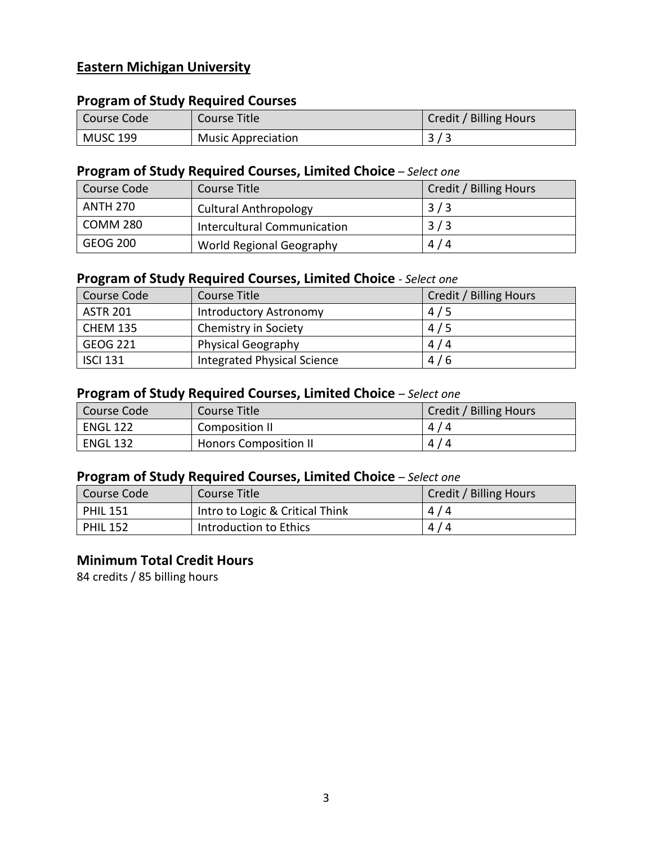## **Eastern Michigan University**

#### **Program of Study Required Courses**

| Course Code     | Course Title              | <b>Credit / Billing Hours</b> |
|-----------------|---------------------------|-------------------------------|
| <b>MUSC 199</b> | <b>Music Appreciation</b> |                               |

#### **Program of Study Required Courses, Limited Choice** *– Select one*

| Course Code     | Course Title                 | Credit / Billing Hours |
|-----------------|------------------------------|------------------------|
| <b>ANTH 270</b> | <b>Cultural Anthropology</b> | 3/3                    |
| COMM 280        | Intercultural Communication  | 3/3                    |
| GEOG 200        | World Regional Geography     | 4/4                    |

## **Program of Study Required Courses, Limited Choice** *- Select one*

| Course Code     | Course Title                | Credit / Billing Hours |
|-----------------|-----------------------------|------------------------|
| <b>ASTR 201</b> | Introductory Astronomy      | 4/5                    |
| <b>CHEM 135</b> | Chemistry in Society        | 4/5                    |
| GEOG 221        | <b>Physical Geography</b>   | 4/4                    |
| <b>ISCI 131</b> | Integrated Physical Science | 4/6                    |

#### **Program of Study Required Courses, Limited Choice** *– Select one*

| Course Code     | Course Title                 | Credit / Billing Hours |
|-----------------|------------------------------|------------------------|
| <b>ENGL 122</b> | Composition II               | 4/4                    |
| <b>ENGL 132</b> | <b>Honors Composition II</b> | 4/4                    |

### **Program of Study Required Courses, Limited Choice** *– Select one*

| Course Code     | Course Title                    | Credit / Billing Hours |
|-----------------|---------------------------------|------------------------|
| <b>PHIL 151</b> | Intro to Logic & Critical Think | 4/4                    |
| <b>PHIL 152</b> | Introduction to Ethics          | 4/4                    |

#### **Minimum Total Credit Hours**

84 credits / 85 billing hours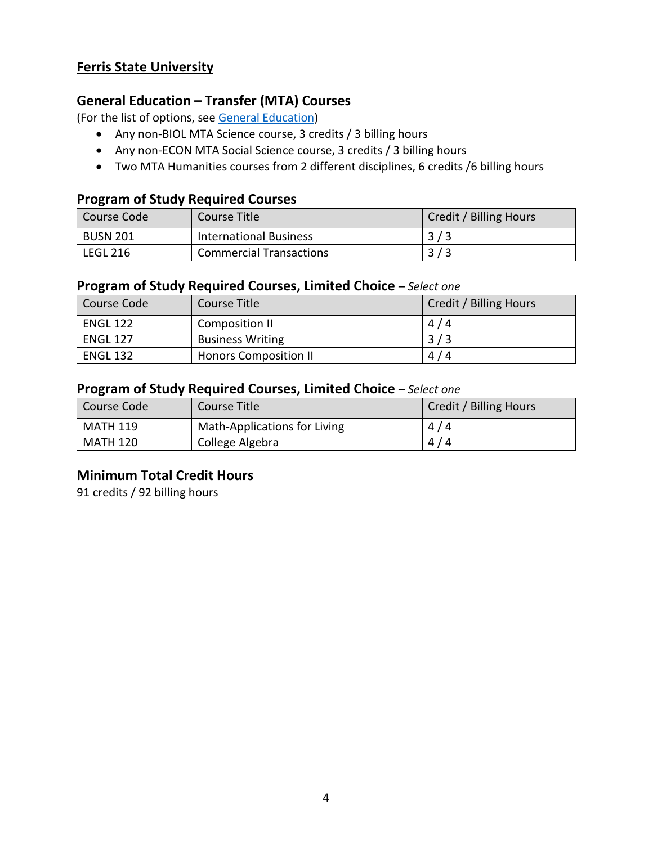### **Ferris State University**

## **General Education – Transfer (MTA) Courses**

(For the list of options, see [General Education\)](https://www.lcc.edu/general-education/)

- Any non-BIOL MTA Science course, 3 credits / 3 billing hours
- Any non-ECON MTA Social Science course, 3 credits / 3 billing hours
- Two MTA Humanities courses from 2 different disciplines, 6 credits /6 billing hours

#### **Program of Study Required Courses**

| Course Code     | Course Title                   | Credit / Billing Hours |
|-----------------|--------------------------------|------------------------|
| BUSN 201        | <b>International Business</b>  | 3/3                    |
| <b>LEGL 216</b> | <b>Commercial Transactions</b> | 3/3                    |

#### **Program of Study Required Courses, Limited Choice** *– Select one*

| Course Code     | Course Title                 | Credit / Billing Hours |
|-----------------|------------------------------|------------------------|
| <b>ENGL 122</b> | Composition II               | 4/4                    |
| <b>ENGL 127</b> | <b>Business Writing</b>      | 3/3                    |
| <b>ENGL 132</b> | <b>Honors Composition II</b> | 4/4                    |

#### **Program of Study Required Courses, Limited Choice** *– Select one*

| Course Code | Course Title                 | Credit / Billing Hours |
|-------------|------------------------------|------------------------|
| MATH 119    | Math-Applications for Living | 4/4                    |
| MATH 120    | College Algebra              | 4/4                    |

## **Minimum Total Credit Hours**

91 credits / 92 billing hours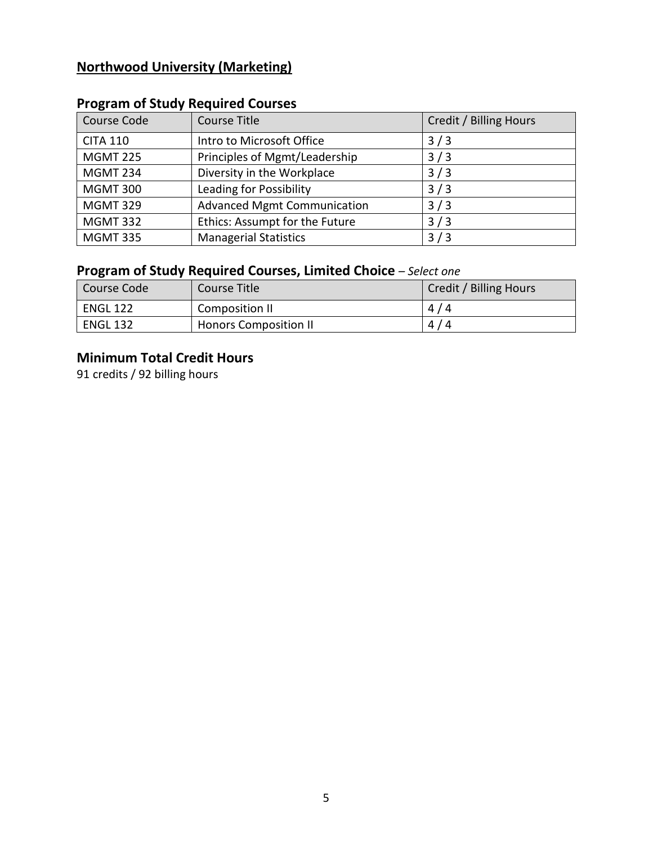## **Northwood University (Marketing)**

| Course Code     | <b>Course Title</b>                | Credit / Billing Hours |
|-----------------|------------------------------------|------------------------|
| <b>CITA 110</b> | Intro to Microsoft Office          | 3/3                    |
| <b>MGMT 225</b> | Principles of Mgmt/Leadership      | 3/3                    |
| <b>MGMT 234</b> | Diversity in the Workplace         | 3/3                    |
| <b>MGMT 300</b> | Leading for Possibility            | 3/3                    |
| <b>MGMT 329</b> | <b>Advanced Mgmt Communication</b> | 3/3                    |
| <b>MGMT 332</b> | Ethics: Assumpt for the Future     | 3/3                    |
| <b>MGMT 335</b> | <b>Managerial Statistics</b>       | 3/3                    |

# **Program of Study Required Courses**

## **Program of Study Required Courses, Limited Choice** *– Select one*

| Course Code     | Course Title                 | Credit / Billing Hours |
|-----------------|------------------------------|------------------------|
| ENGL 122        | Composition II               | 4/4                    |
| <b>ENGL 132</b> | <b>Honors Composition II</b> | 4/4                    |

## **Minimum Total Credit Hours**

91 credits / 92 billing hours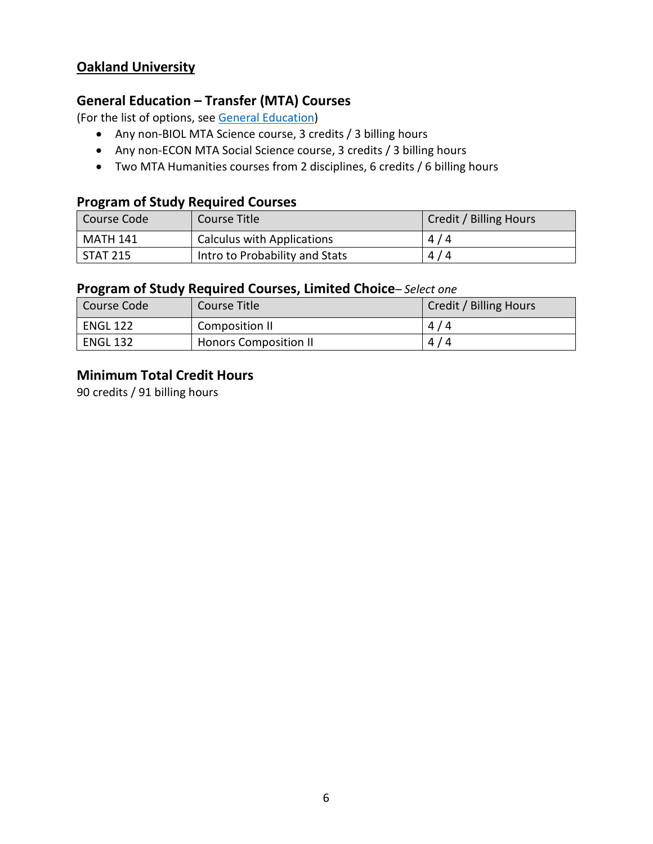## **Oakland University**

## **General Education – Transfer (MTA) Courses**

(For the list of options, see [General Education\)](https://www.lcc.edu/general-education/)

- Any non-BIOL MTA Science course, 3 credits / 3 billing hours
- Any non-ECON MTA Social Science course, 3 credits / 3 billing hours
- Two MTA Humanities courses from 2 disciplines, 6 credits / 6 billing hours

## **Program of Study Required Courses**

| l Course Code | Course Title                      | Credit / Billing Hours |
|---------------|-----------------------------------|------------------------|
| MATH 141      | <b>Calculus with Applications</b> | 4/4                    |
| STAT 215      | Intro to Probability and Stats    | 4/4                    |

#### **Program of Study Required Courses, Limited Choice***– Select one*

| Course Code     | Course Title                 | Credit / Billing Hours |
|-----------------|------------------------------|------------------------|
| <b>ENGL 122</b> | Composition II               | 4/4                    |
| <b>ENGL 132</b> | <b>Honors Composition II</b> | 4/4                    |

#### **Minimum Total Credit Hours**

90 credits / 91 billing hours